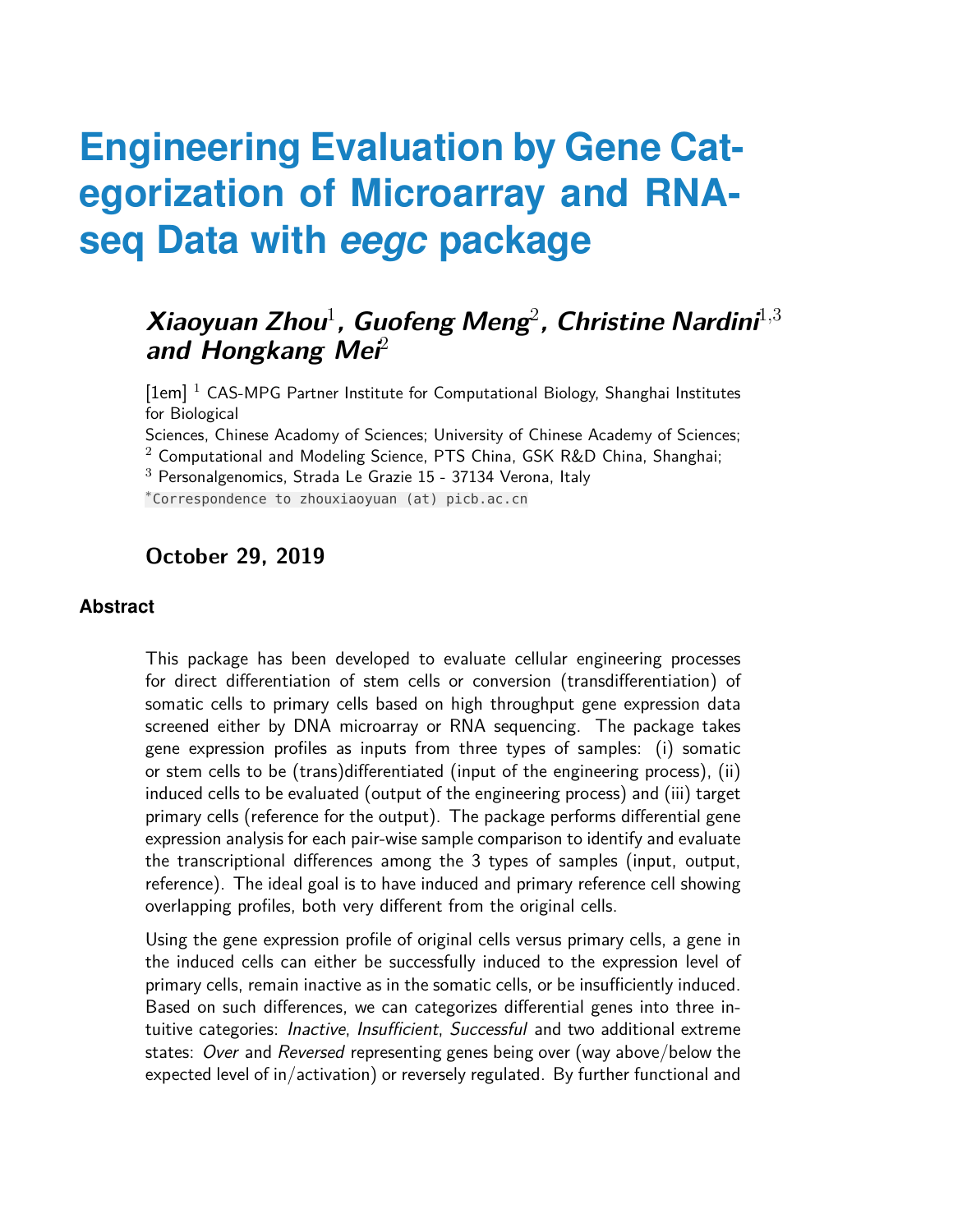# **Engineering Evaluation by Gene Categorization of Microarray and RNAseq Data with** *eegc* **package**

#### **Xiaoyuan Zhou**<sup>1</sup> **, Guofeng Meng**<sup>2</sup> **, Christine Nardini**<sup>1</sup>,<sup>3</sup> **and Hongkang Mei**<sup>2</sup>

[1em] <sup>1</sup> CAS-MPG Partner Institute for Computational Biology, Shanghai Institutes for Biological

Sciences, Chinese Acadomy of Sciences; University of Chinese Academy of Sciences;

 $2$  Computational and Modeling Science, PTS China, GSK R&D China, Shanghai;

 $3$  Personalgenomics, Strada Le Grazie 15 - 37134 Verona, Italy

∗ Correspondence to zhouxiaoyuan (at) picb.ac.cn

#### **October 29, 2019**

#### **Abstract**

This package has been developed to evaluate cellular engineering processes for direct differentiation of stem cells or conversion (transdifferentiation) of somatic cells to primary cells based on high throughput gene expression data screened either by DNA microarray or RNA sequencing. The package takes gene expression profiles as inputs from three types of samples: (i) somatic or stem cells to be (trans)differentiated (input of the engineering process), (ii) induced cells to be evaluated (output of the engineering process) and (iii) target primary cells (reference for the output). The package performs differential gene expression analysis for each pair-wise sample comparison to identify and evaluate the transcriptional differences among the 3 types of samples (input, output, reference). The ideal goal is to have induced and primary reference cell showing overlapping profiles, both very different from the original cells.

Using the gene expression profile of original cells versus primary cells, a gene in the induced cells can either be successfully induced to the expression level of primary cells, remain inactive as in the somatic cells, or be insufficiently induced. Based on such differences, we can categorizes differential genes into three intuitive categories: Inactive, Insufficient, Successful and two additional extreme states: Over and Reversed representing genes being over (way above/below the expected level of in/activation) or reversely regulated. By further functional and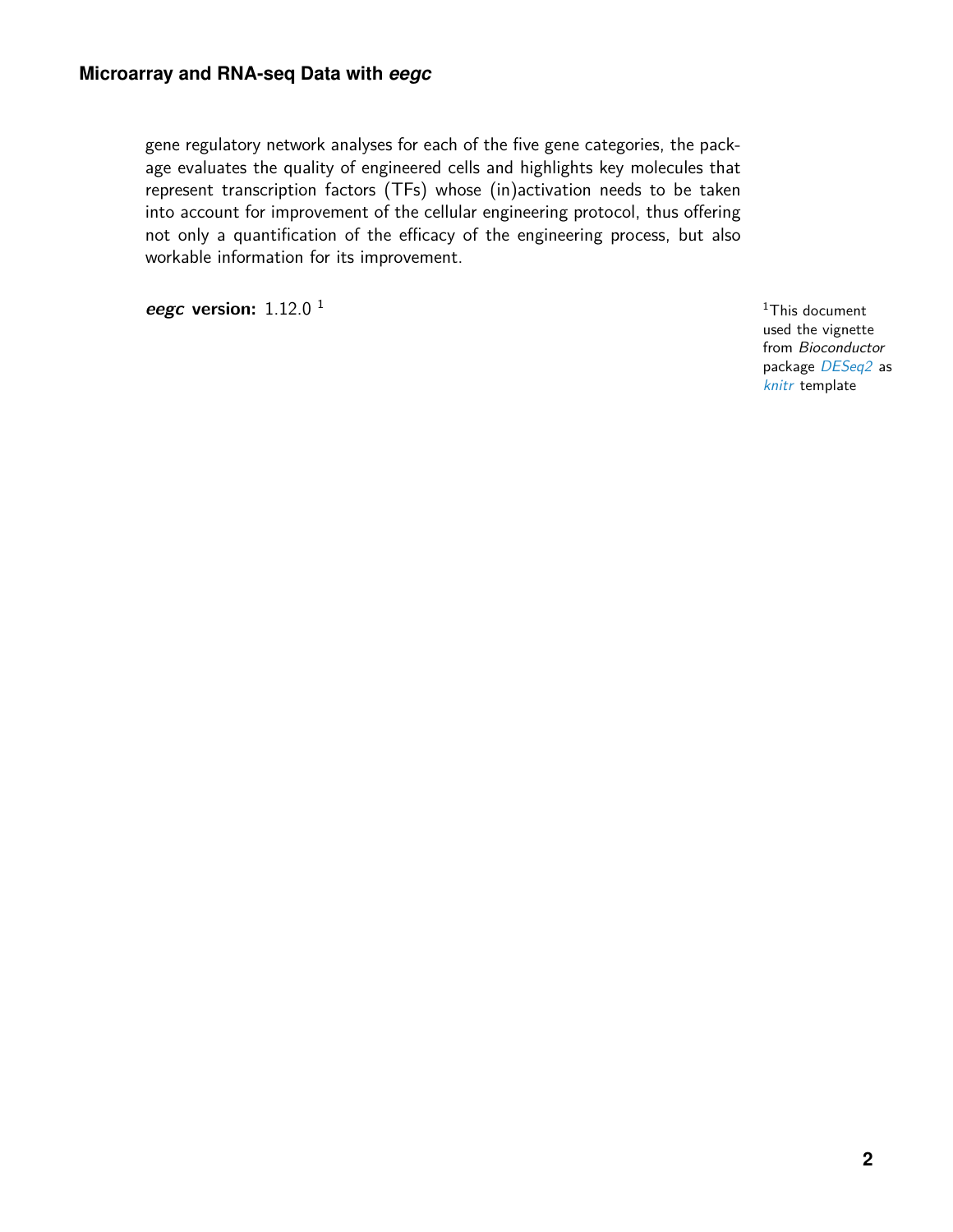gene regulatory network analyses for each of the five gene categories, the package evaluates the quality of engineered cells and highlights key molecules that represent transcription factors (TFs) whose (in)activation needs to be taken into account for improvement of the cellular engineering protocol, thus offering not only a quantification of the efficacy of the engineering process, but also workable information for its improvement.

**eegc version:** 1.12.0 <sup>1</sup>

<sup>1</sup>This document used the vignette from Bioconductor package [DESeq2](http://bioconductor.org/packages/DESeq2) as [knitr](https://CRAN.R-project.org/package=knitr) template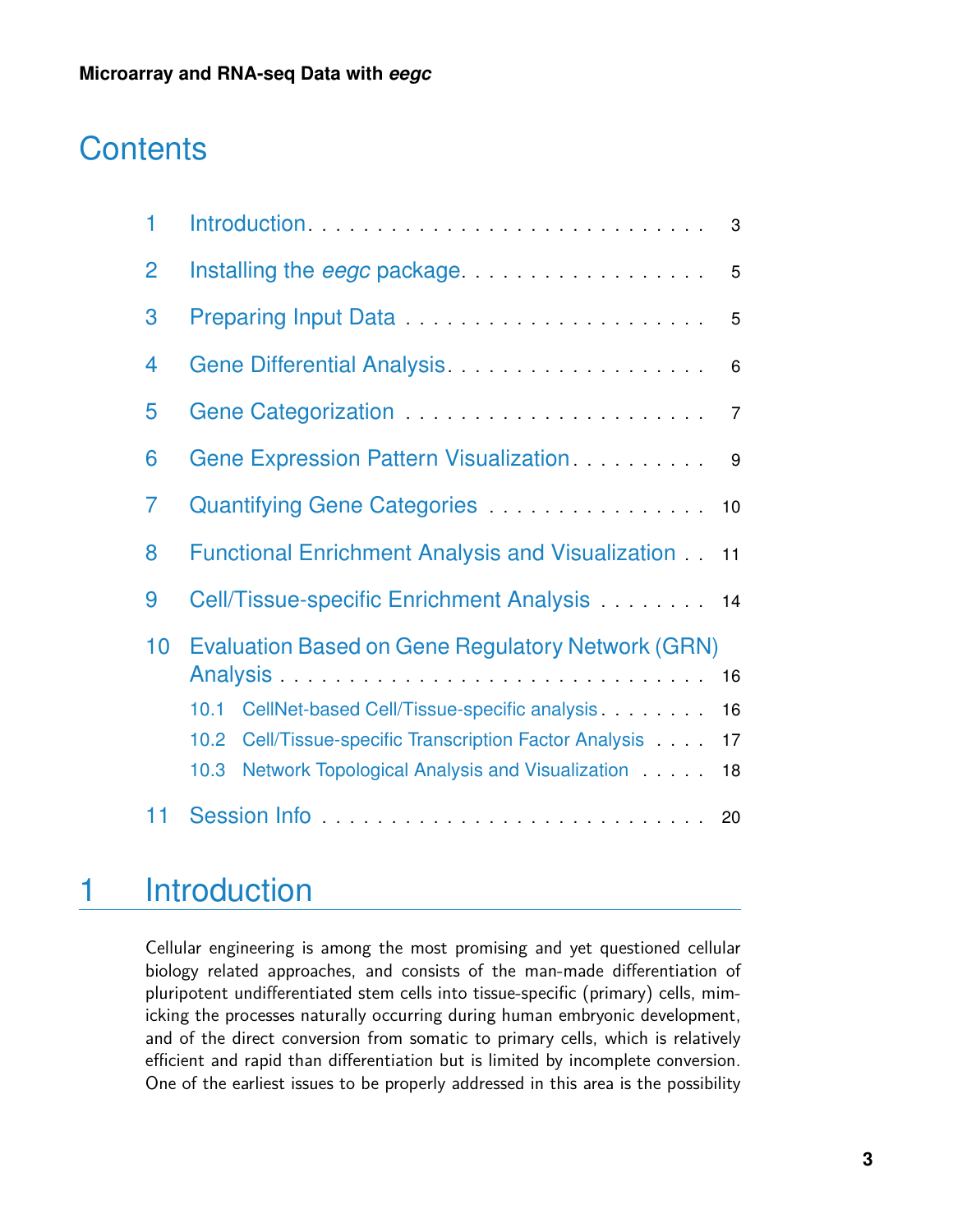## **Contents**

| 1              | Introduction<br>3                                                                                                                                                                                                                              |  |  |  |  |  |
|----------------|------------------------------------------------------------------------------------------------------------------------------------------------------------------------------------------------------------------------------------------------|--|--|--|--|--|
| $\overline{2}$ | Installing the <i>eegc</i> package <b>contains the search of the search of the search of the search of the search of the search of the search of the search of the search of the search of the search of the search of the search of </b><br>5 |  |  |  |  |  |
| 3              | Preparing Input Data <b>Construction</b> Preparing In<br>5                                                                                                                                                                                     |  |  |  |  |  |
| 4              | 6                                                                                                                                                                                                                                              |  |  |  |  |  |
| 5              | $\overline{7}$                                                                                                                                                                                                                                 |  |  |  |  |  |
| 6              | Gene Expression Pattern Visualization<br>9                                                                                                                                                                                                     |  |  |  |  |  |
| $\overline{7}$ | Quantifying Gene Categories <b>Canada Accepts</b> 2014 11:00:00<br>$10$                                                                                                                                                                        |  |  |  |  |  |
| 8              | <b>Functional Enrichment Analysis and Visualization 11</b>                                                                                                                                                                                     |  |  |  |  |  |
| 9              | Cell/Tissue-specific Enrichment Analysis 14                                                                                                                                                                                                    |  |  |  |  |  |
| 10             | <b>Evaluation Based on Gene Regulatory Network (GRN)</b>                                                                                                                                                                                       |  |  |  |  |  |
|                | 16<br>10.1                                                                                                                                                                                                                                     |  |  |  |  |  |
|                | CellNet-based Cell/Tissue-specific analysis<br>16                                                                                                                                                                                              |  |  |  |  |  |
|                | Cell/Tissue-specific Transcription Factor Analysis<br>10.2<br>17                                                                                                                                                                               |  |  |  |  |  |
|                | Network Topological Analysis and Visualization<br>10.3<br>18                                                                                                                                                                                   |  |  |  |  |  |
| 11             |                                                                                                                                                                                                                                                |  |  |  |  |  |

## <span id="page-2-0"></span>1 Introduction

Cellular engineering is among the most promising and yet questioned cellular biology related approaches, and consists of the man-made differentiation of pluripotent undifferentiated stem cells into tissue-specific (primary) cells, mimicking the processes naturally occurring during human embryonic development, and of the direct conversion from somatic to primary cells, which is relatively efficient and rapid than differentiation but is limited by incomplete conversion. One of the earliest issues to be properly addressed in this area is the possibility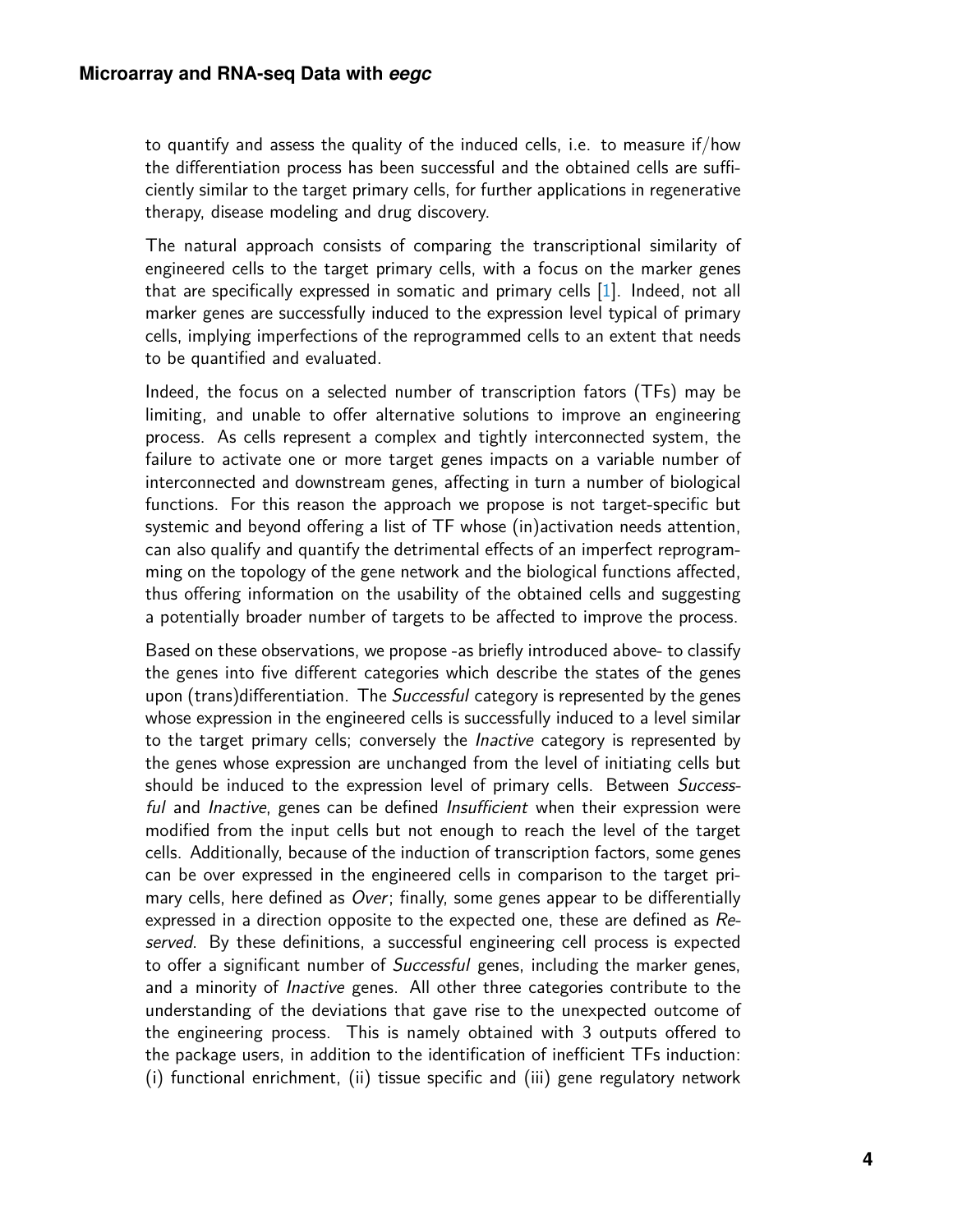to quantify and assess the quality of the induced cells, i.e. to measure if/how the differentiation process has been successful and the obtained cells are sufficiently similar to the target primary cells, for further applications in regenerative therapy, disease modeling and drug discovery.

The natural approach consists of comparing the transcriptional similarity of engineered cells to the target primary cells, with a focus on the marker genes that are specifically expressed in somatic and primary cells [\[1\]](#page-18-0). Indeed, not all marker genes are successfully induced to the expression level typical of primary cells, implying imperfections of the reprogrammed cells to an extent that needs to be quantified and evaluated.

Indeed, the focus on a selected number of transcription fators (TFs) may be limiting, and unable to offer alternative solutions to improve an engineering process. As cells represent a complex and tightly interconnected system, the failure to activate one or more target genes impacts on a variable number of interconnected and downstream genes, affecting in turn a number of biological functions. For this reason the approach we propose is not target-specific but systemic and beyond offering a list of TF whose (in)activation needs attention, can also qualify and quantify the detrimental effects of an imperfect reprogramming on the topology of the gene network and the biological functions affected, thus offering information on the usability of the obtained cells and suggesting a potentially broader number of targets to be affected to improve the process.

Based on these observations, we propose -as briefly introduced above- to classify the genes into five different categories which describe the states of the genes upon (trans)differentiation. The *Successful* category is represented by the genes whose expression in the engineered cells is successfully induced to a level similar to the target primary cells; conversely the Inactive category is represented by the genes whose expression are unchanged from the level of initiating cells but should be induced to the expression level of primary cells. Between Successful and Inactive, genes can be defined Insufficient when their expression were modified from the input cells but not enough to reach the level of the target cells. Additionally, because of the induction of transcription factors, some genes can be over expressed in the engineered cells in comparison to the target primary cells, here defined as Over; finally, some genes appear to be differentially expressed in a direction opposite to the expected one, these are defined as Reserved. By these definitions, a successful engineering cell process is expected to offer a significant number of *Successful* genes, including the marker genes, and a minority of *Inactive* genes. All other three categories contribute to the understanding of the deviations that gave rise to the unexpected outcome of the engineering process. This is namely obtained with 3 outputs offered to the package users, in addition to the identification of inefficient TFs induction: (i) functional enrichment, (ii) tissue specific and (iii) gene regulatory network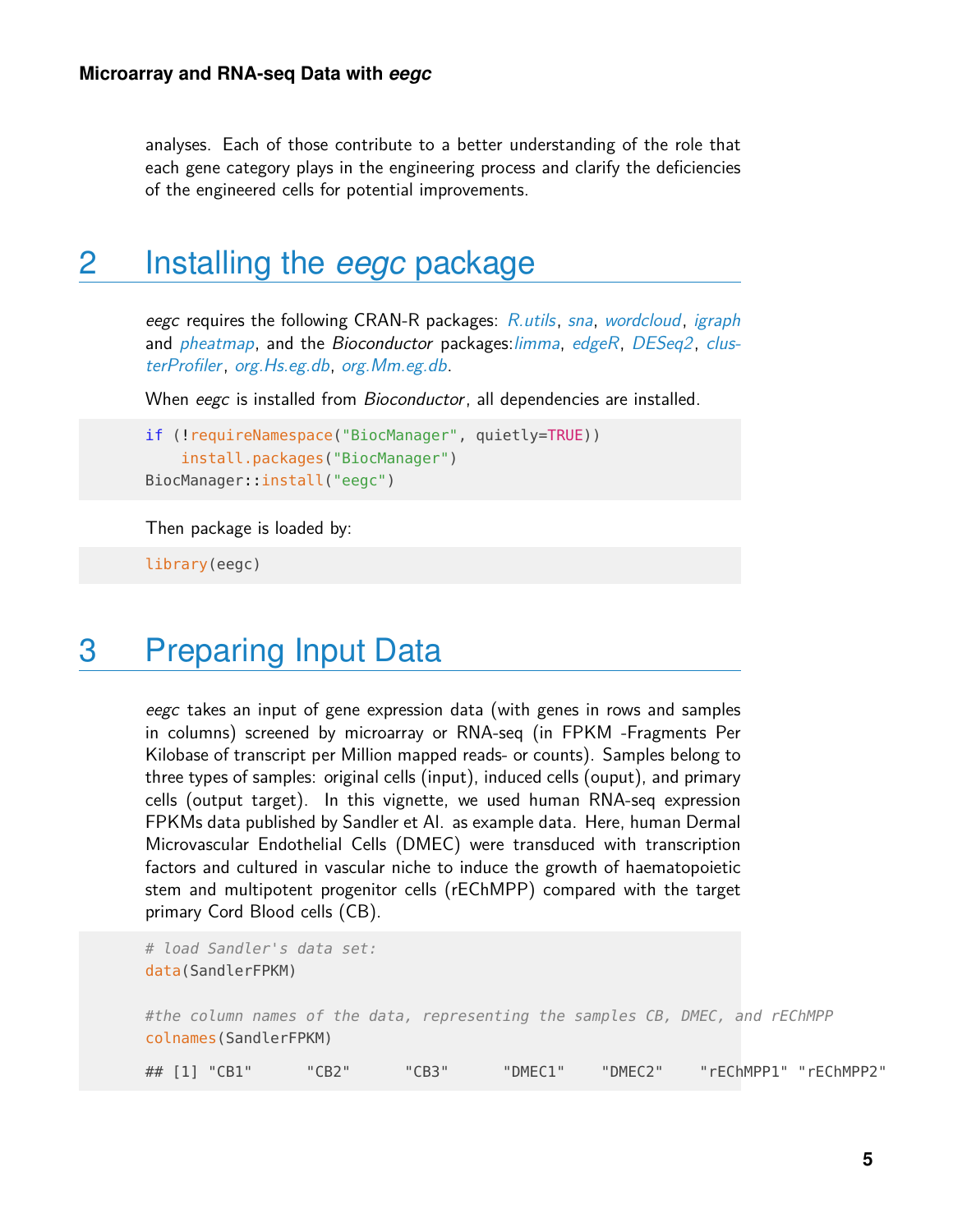<span id="page-4-0"></span>analyses. Each of those contribute to a better understanding of the role that each gene category plays in the engineering process and clarify the deficiencies of the engineered cells for potential improvements.

### 2 Installing the *eegc* package

eegc requires the following CRAN-R packages: [R.utils](https://CRAN.R-project.org/package=R.utils), [sna](https://CRAN.R-project.org/package=sna), [wordcloud](https://CRAN.R-project.org/package=wordcloud), [igraph](https://CRAN.R-project.org/package=igraph) and [pheatmap](https://CRAN.R-project.org/package=pheatmap), and the Bioconductor packages: [limma](http://bioconductor.org/packages/limma), [edgeR](http://bioconductor.org/packages/edgeR), [DESeq2](http://bioconductor.org/packages/DESeq2), [clus](http://bioconductor.org/packages/clusterProfiler)[terProfiler](http://bioconductor.org/packages/clusterProfiler), [org.Hs.eg.db](http://bioconductor.org/packages/org.Hs.eg.db), [org.Mm.eg.db](http://bioconductor.org/packages/org.Mm.eg.db).

When eegc is installed from *Bioconductor*, all dependencies are installed.

```
if (!requireNamespace("BiocManager", quietly=TRUE))
    install.packages("BiocManager")
BiocManager::install("eegc")
```
Then package is loaded by:

<span id="page-4-1"></span>library(eegc)

### 3 Preparing Input Data

eegc takes an input of gene expression data (with genes in rows and samples in columns) screened by microarray or RNA-seq (in FPKM -Fragments Per Kilobase of transcript per Million mapped reads- or counts). Samples belong to three types of samples: original cells (input), induced cells (ouput), and primary cells (output target). In this vignette, we used human RNA-seq expression FPKMs data published by Sandler et Al. as example data. Here, human Dermal Microvascular Endothelial Cells (DMEC) were transduced with transcription factors and cultured in vascular niche to induce the growth of haematopoietic stem and multipotent progenitor cells (rEChMPP) compared with the target primary Cord Blood cells (CB).

```
# load Sandler's data set:
data(SandlerFPKM)
#the column names of the data, representing the samples CB, DMEC, and rEChMPP
colnames(SandlerFPKM)
## [1] "CB1" "CB2" "CB3" "DMEC1" "DMEC2" "rEChMPP1" "rEChMPP2"
```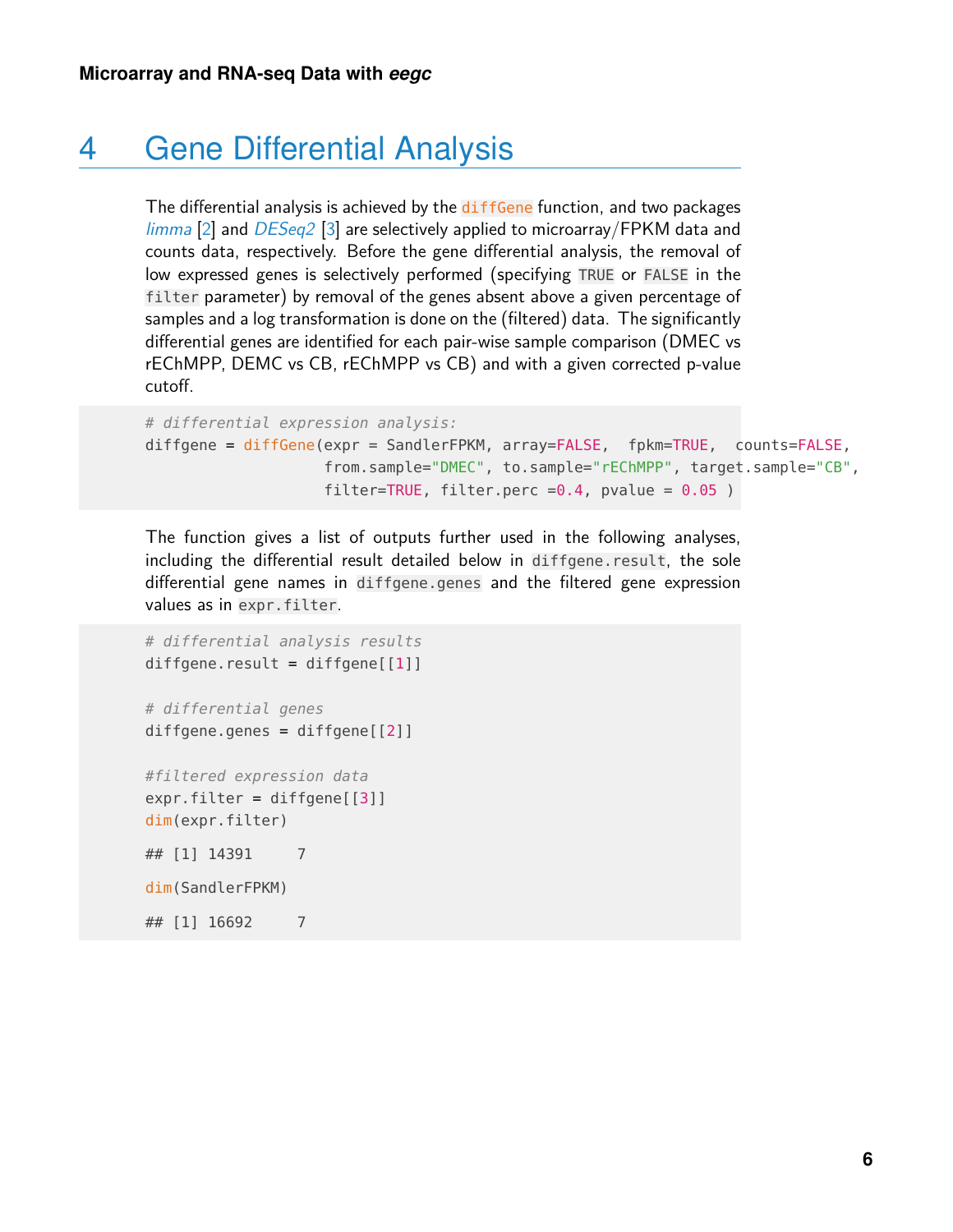### 4 Gene Differential Analysis

The differential analysis is achieved by the diffGene function, and two packages  $\lim_{\text{m}}$  [\[2\]](#page-18-1) and  $DESeq2$  [\[3\]](#page-18-2) are selectively applied to microarray/FPKM data and counts data, respectively. Before the gene differential analysis, the removal of low expressed genes is selectively performed (specifying TRUE or FALSE in the filter parameter) by removal of the genes absent above a given percentage of samples and a log transformation is done on the (filtered) data. The significantly differential genes are identified for each pair-wise sample comparison (DMEC vs rEChMPP, DEMC vs CB, rEChMPP vs CB) and with a given corrected p-value cutoff.

```
# differential expression analysis:
diffgene = diffGene(expr = SandlerFPKM, array=FALSE, fpkm=TRUE, counts=FALSE,
                   from.sample="DMEC", to.sample="rEChMPP", target.sample="CB",
                   filter=TRUE, filter.perc =0.4, pvalue = 0.05)
```
The function gives a list of outputs further used in the following analyses, including the differential result detailed below in diffgene.result, the sole differential gene names in diffgene.genes and the filtered gene expression values as in expr.filter.

```
# differential analysis results
diffgene. result = diffgene[1]]# differential genes
diffgene.genes = diffgene[[2]]
#filtered expression data
expr.filter = diffgene[[3]]
dim(expr.filter)
## [1] 14391 7
dim(SandlerFPKM)
## [1] 16692 7
```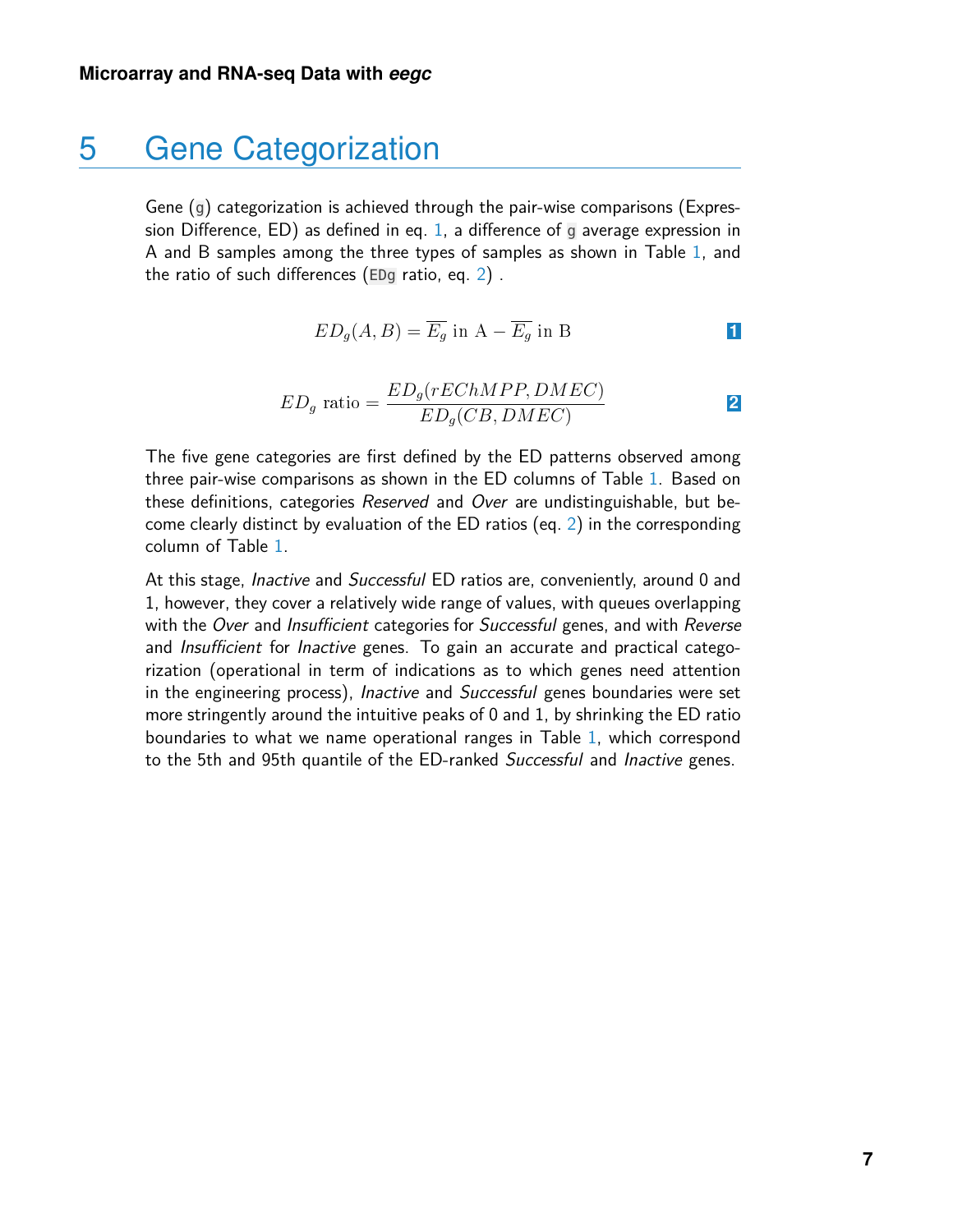#### 5 Gene Categorization

<span id="page-6-0"></span>Gene (g) categorization is achieved through the pair-wise comparisons (Expres-sion Difference, ED) as defined in eq. [1,](#page-6-0) a difference of  $\overline{g}$  average expression in A and B samples among the three types of samples as shown in Table [1,](#page-7-0) and the ratio of such differences (EDg ratio, eq. [2\)](#page-6-1) .

$$
ED_g(A, B) = \overline{E_g} \text{ in } A - \overline{E_g} \text{ in } B
$$

$$
ED_g \text{ ratio} = \frac{ED_g(rEChMPP, DMEC)}{ED_g(CB, DMEC)} \tag{2}
$$

<span id="page-6-1"></span>The five gene categories are first defined by the ED patterns observed among three pair-wise comparisons as shown in the ED columns of Table [1.](#page-7-0) Based on these definitions, categories Reserved and Over are undistinguishable, but become clearly distinct by evaluation of the ED ratios (eq. [2\)](#page-6-1) in the corresponding column of Table [1.](#page-7-0)

At this stage, *Inactive* and *Successful* ED ratios are, conveniently, around 0 and 1, however, they cover a relatively wide range of values, with queues overlapping with the Over and Insufficient categories for Successful genes, and with Reverse and *Insufficient* for *Inactive* genes. To gain an accurate and practical categorization (operational in term of indications as to which genes need attention in the engineering process), Inactive and Successful genes boundaries were set more stringently around the intuitive peaks of 0 and 1, by shrinking the ED ratio boundaries to what we name operational ranges in Table [1,](#page-7-0) which correspond to the 5th and 95th quantile of the ED-ranked Successful and Inactive genes.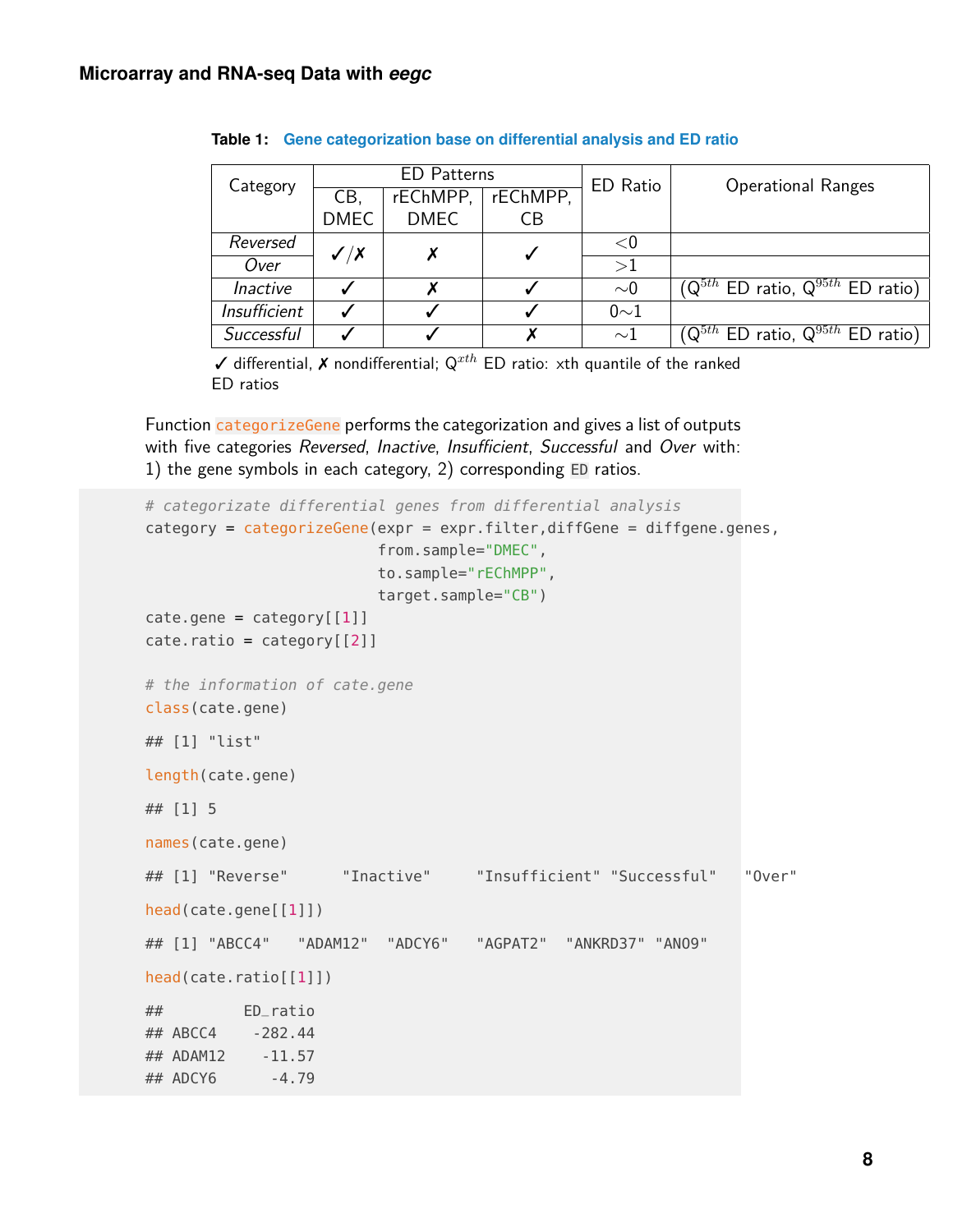| Category            | <b>ED</b> Patterns          |             |          | ED Ratio | <b>Operational Ranges</b>                                   |
|---------------------|-----------------------------|-------------|----------|----------|-------------------------------------------------------------|
|                     | CB,                         | rEChMPP,    | rEChMPP, |          |                                                             |
|                     | <b>DMEC</b>                 | <b>DMEC</b> | CВ       |          |                                                             |
| Reversed            | $\checkmark$ / $\checkmark$ |             |          | $<$ 0    |                                                             |
| Over                |                             |             |          | >1       |                                                             |
| <i>Inactive</i>     |                             |             |          | $\sim$ 0 | $(Q^{5th}$ ED ratio, $Q^{95th}$ ED ratio)                   |
| <b>Insufficient</b> |                             |             |          | $0\sim1$ |                                                             |
| Successful          |                             |             |          | $\sim$ 1 | $(\mathsf{Q}^{5th}$ ED ratio, $\mathsf{Q}^{95th}$ ED ratio) |

<span id="page-7-0"></span>**Table 1: Gene categorization base on differential analysis and ED ratio**

 $\checkmark$  differential,  $\checkmark$  nondifferential;  $Q^{xth}$  ED ratio: xth quantile of the ranked ED ratios

Function categorizeGene performs the categorization and gives a list of outputs with five categories Reversed, Inactive, Insufficient, Successful and Over with: 1) the gene symbols in each category, 2) corresponding ED ratios.

```
# categorizate differential genes from differential analysis
category = categorizeGene(expr = expr.filter,diffGene = diffgene.genes,
                          from.sample="DMEC",
                          to.sample="rEChMPP",
                          target.sample="CB")
\text{cate.gene} = \text{category}[[1]]\text{cate.ratio} = \text{category}[[2]]# the information of cate.gene
class(cate.gene)
## [1] "list"
length(cate.gene)
## [1] 5
names(cate.gene)
## [1] "Reverse" "Inactive" "Insufficient" "Successful" "Over"
head(cate.gene[[1]])
## [1] "ABCC4" "ADAM12" "ADCY6" "AGPAT2" "ANKRD37" "ANO9"
head(cate.ratio[[1]])
## ED_ratio
## ABCC4 -282.44
## ADAM12 -11.57
## ADCY6 -4.79
```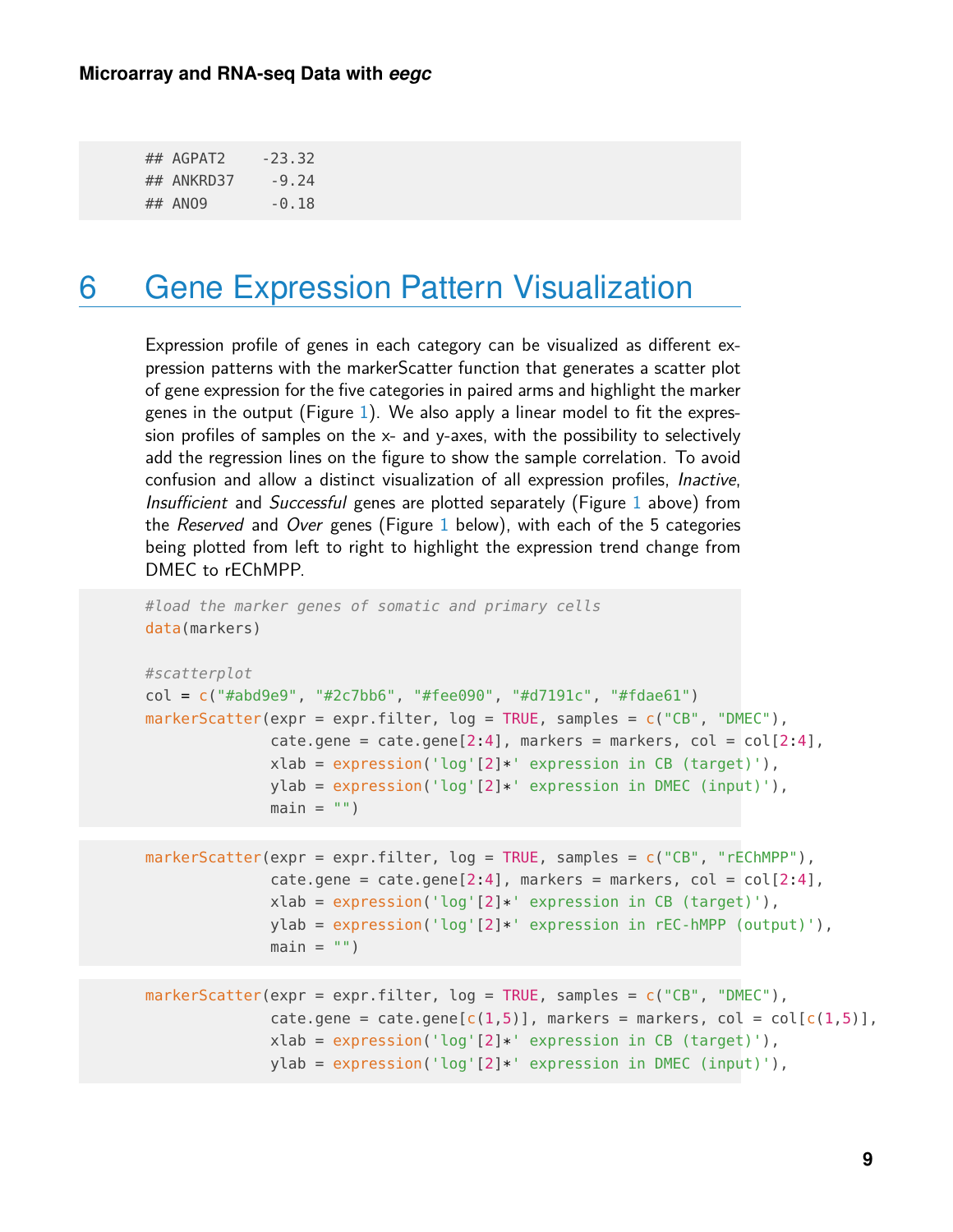<span id="page-8-0"></span>

| ## AGPAT2  | $-23.32$ |
|------------|----------|
| ## ANKRD37 | $-9.24$  |
| ## AN09    | $-0.18$  |

### 6 Gene Expression Pattern Visualization

Expression profile of genes in each category can be visualized as different expression patterns with the markerScatter function that generates a scatter plot of gene expression for the five categories in paired arms and highlight the marker genes in the output (Figure [1\)](#page-9-1). We also apply a linear model to fit the expression profiles of samples on the x- and y-axes, with the possibility to selectively add the regression lines on the figure to show the sample correlation. To avoid confusion and allow a distinct visualization of all expression profiles, Inactive, Insufficient and Successful genes are plotted separately (Figure [1](#page-9-1) above) from the Reserved and Over genes (Figure [1](#page-9-1) below), with each of the 5 categories being plotted from left to right to highlight the expression trend change from DMEC to rEChMPP.

```
#load the marker genes of somatic and primary cells
data(markers)
#scatterplot
col = c("#abd9e9", "#2c7bb6", "#fee090", "#d7191c", "#fdae61")
markerScatter(expr = expr.filter, log = TRUE, samples = c("CB", "DMEC"),
              cate.gene = cate.gene[2:4], markers = markers, col = col[2:4],
              xlab = expression('log'[2]*' expression in CB (target)'),
              ylab = expression('log'[2]*' expression in DMEC (input)'),
              main = "")markerScatter(expr = expr.filter, log = TRUE, samples = c("CB", "rEChMPP"),
              \text{cate.gene} = \text{cate.gene}[2:4], markers = markers, \text{col} = \text{col}[2:4],
              xlab = expression('log'[2]*' expression in CB (target)'),
              ylab = expression('log'[2]*' expression in rEC-hMPP (output)'),
              main = "")markerScatter(expr = expr.filter, log = TRUE, samples = c("CB", "DMEC"),cate.gene = cate.gene[c(1,5)], markers = markers, col = col[c(1,5)],
              xlab = expression('log'[2]*' expression in CB (target)'),
```

```
ylab = expression('log'[2]*' expression in DMEC (input)'),
```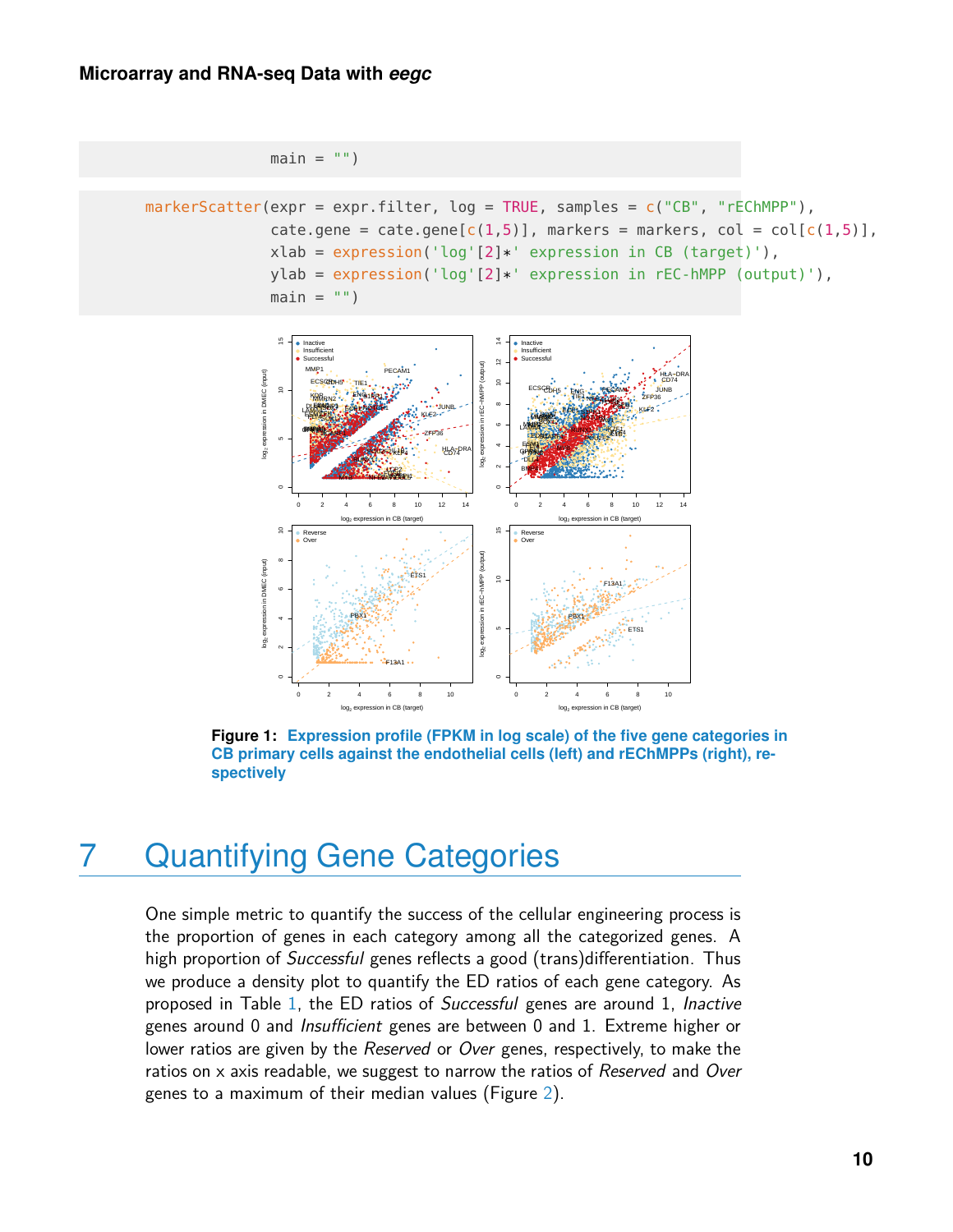```
main = "")markerScatter(expr = expr.filter, log = TRUE, samples = c("CB", "rEChMPP"),
              cate.gene = cate.gene[c(1,5)], markers = markers, col = col[c(1,5)],
              xlab = expression('log'[2]*' expression in CB (target)'),
              ylab = expression('log'[2]*' expression in rec-hMPP (output)'),main = "")
```
<span id="page-9-1"></span>

Figure 1: Expression profile (FPKM in log scale) of the five gene categories in CB primary cells against the endothelial cells (left) and rEChMPPs (right), respectively

#### <span id="page-9-0"></span>**Quantifying Gene Categories** 7

One simple metric to quantify the success of the cellular engineering process is the proportion of genes in each category among all the categorized genes. A high proportion of *Successful* genes reflects a good (trans) differentiation. Thus we produce a density plot to quantify the ED ratios of each gene category. As proposed in Table 1, the ED ratios of Successful genes are around 1, Inactive genes around 0 and *Insufficient* genes are between 0 and 1. Extreme higher or lower ratios are given by the Reserved or Over genes, respectively, to make the ratios on x axis readable, we suggest to narrow the ratios of Reserved and Over genes to a maximum of their median values (Figure 2).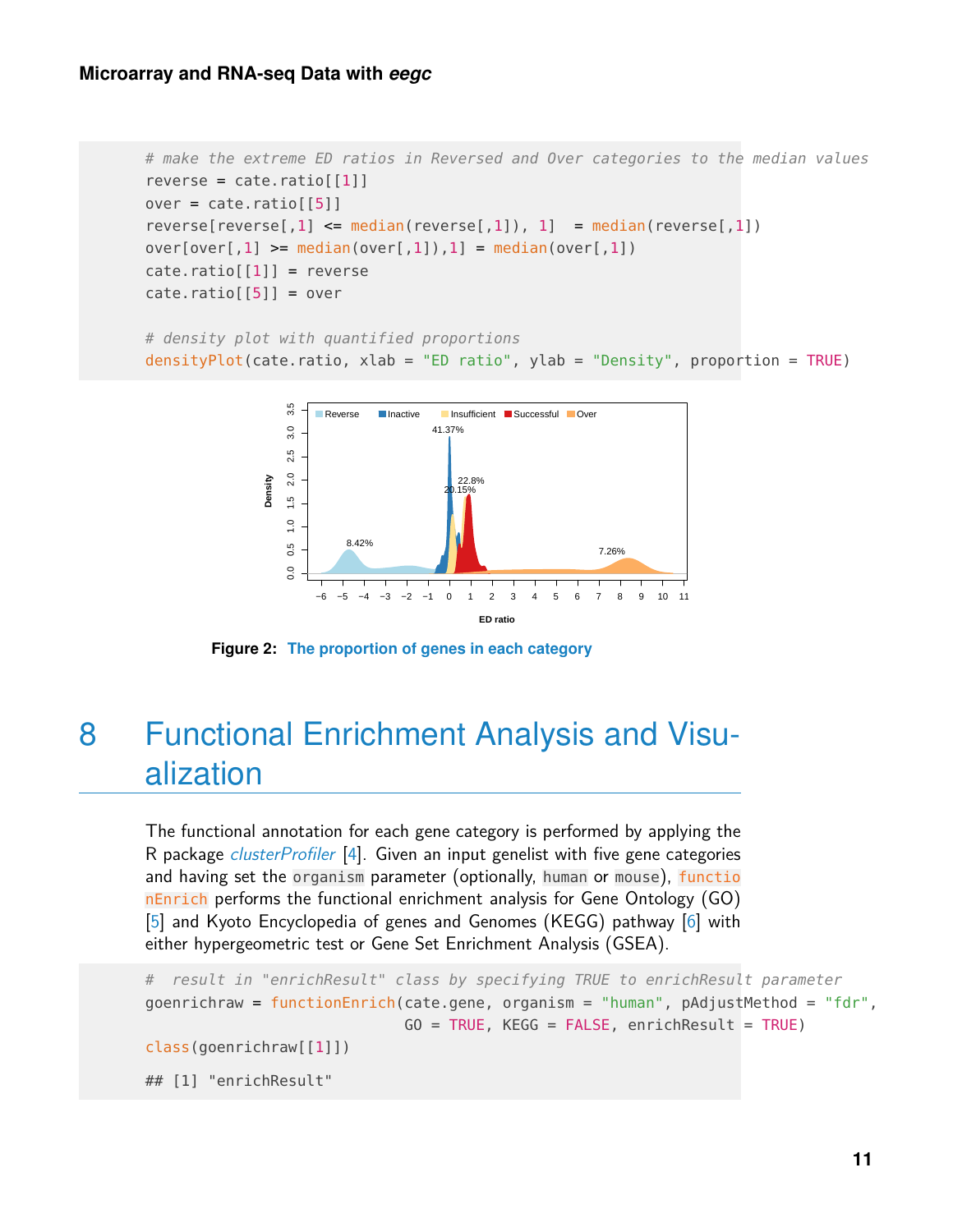```
# make the extreme ED ratios in Reversed and Over categories to the median values
reverse = \text{cate.ratio}[\text{[1]}]over = cate.ratio[[5]]reverse[reverse[,1] \leq median(reverse[,1]), 1] = median(reverse[,1])
over[over[,1] >= median(over[,1]),1] = median(over[,1])
\text{cate.ratio}[\,1]\,] = \text{reverse}\text{cate.ratio}[\, [5] \,] = \text{over}
```

```
# density plot with quantified proportions
densityPlot(cate.ratio, xlab = "ED ratio", ylab = "Density", proportion = TRUE)
```


<span id="page-10-0"></span>**Figure 2: The proportion of genes in each category**

### 8 Functional Enrichment Analysis and Visualization

The functional annotation for each gene category is performed by applying the R package *[clusterProfiler](http://bioconductor.org/packages/clusterProfiler)* [\[4\]](#page-18-3). Given an input genelist with five gene categories and having set the organism parameter (optionally, human or mouse), functio nEnrich performs the functional enrichment analysis for Gene Ontology (GO) [\[5\]](#page-18-4) and Kyoto Encyclopedia of genes and Genomes (KEGG) pathway [\[6\]](#page-18-5) with either hypergeometric test or Gene Set Enrichment Analysis (GSEA).

```
# result in "enrichResult" class by specifying TRUE to enrichResult parameter
goenrichraw = functionEnrich(cate.gene, organism = "human", pAdjustMethod = "fdr",
                             G0 = TRUE, KEGG = FALSE, enrichResult = TRUE)
class(goenrichraw[[1]])
## [1] "enrichResult"
```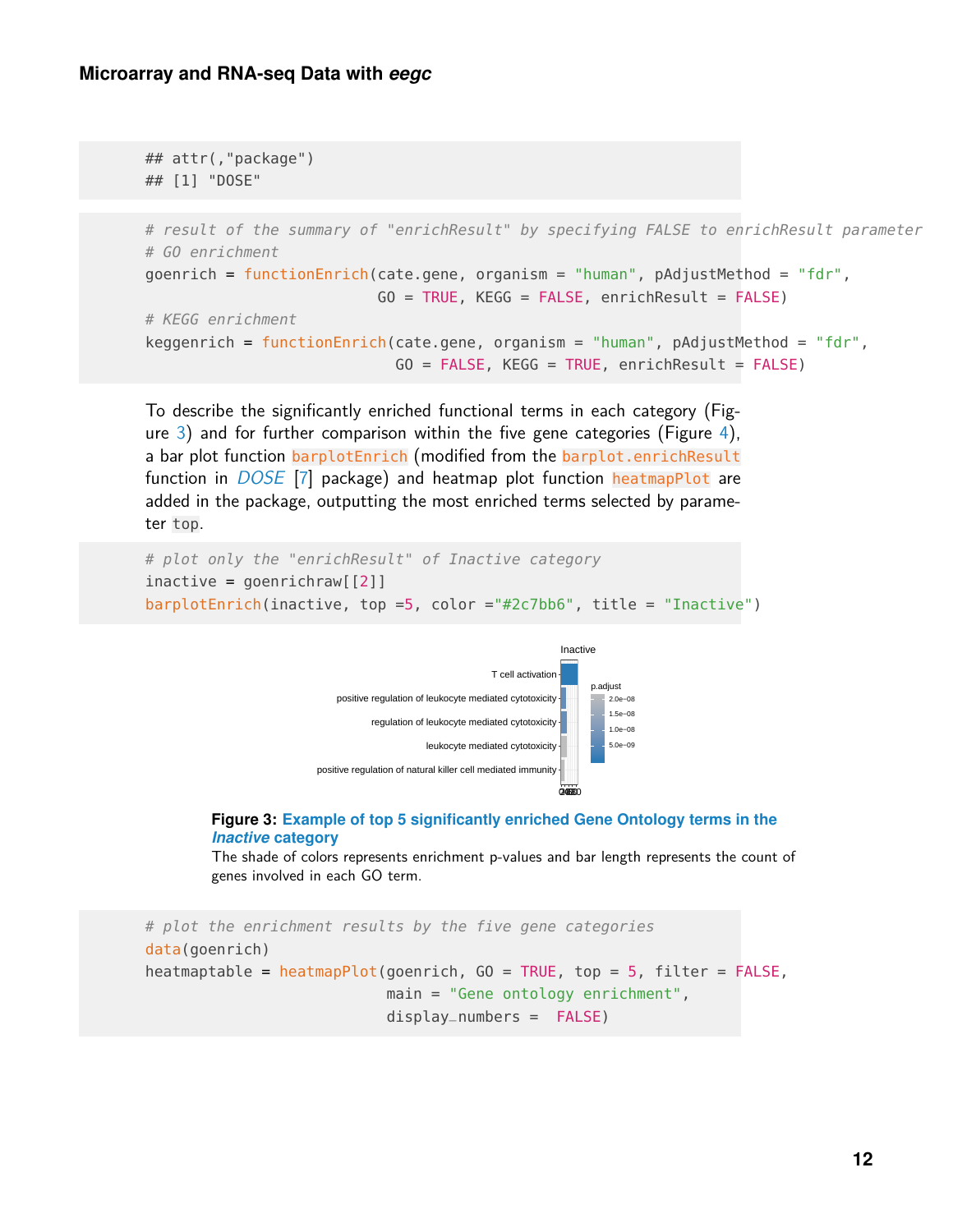## attr(,"package")

```
## [1] "DOSE"
# result of the summary of "enrichResult" by specifying FALSE to enrichResult parameter
# GO enrichment
goenrich = functionEnrich(cate.gene, organism = "human", pAdjustMethod = "fdr",
                          G0 = TRUE, KEGG = FALSE, enrichResult = FALSE)
# KEGG enrichment
keggenrich = functionEnrich(cate.gene, organism = "human", pAdjustMethod = "fdr",
                            G0 = FALSE, KEGG = TRUE, enrichResult = FALSE)
```
To describe the significantly enriched functional terms in each category (Figure [3\)](#page-11-0) and for further comparison within the five gene categories (Figure [4\)](#page-12-0), a bar plot function barplotEnrich (modified from the barplot.enrichResult function in *[DOSE](https://CRAN.R-project.org/package=DOSE)* [\[7\]](#page-19-1) package) and heatmap plot function heatmapPlot are added in the package, outputting the most enriched terms selected by parameter top.

```
# plot only the "enrichResult" of Inactive category
inactive = geometrichraw[[2]]barplotEnrich(inactive, top =5, color ="#2c7bb6", title = "Inactive")
```


#### **Figure 3: Example of top 5 significantly enriched Gene Ontology terms in the** *Inactive* **category**

The shade of colors represents enrichment p-values and bar length represents the count of genes involved in each GO term.

# plot the enrichment results by the five gene categories data(goenrich) heatmaptable = heatmap $Plot(qoenrich, GO = TRUE, top = 5, filter = FALSE,$ main = "Gene ontology enrichment", display\_numbers = FALSE)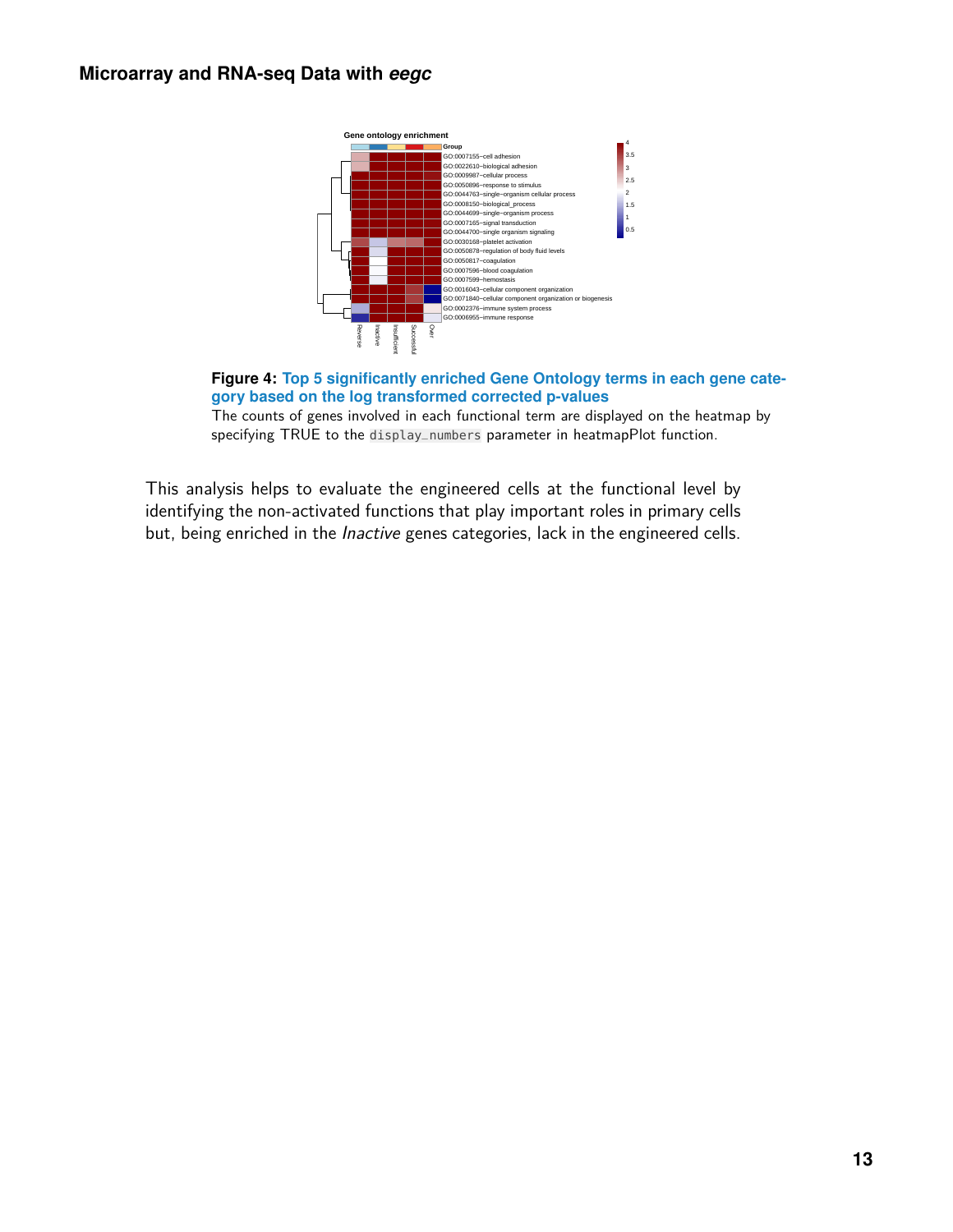<span id="page-12-0"></span>



The counts of genes involved in each functional term are displayed on the heatmap by specifying TRUE to the display\_numbers parameter in heatmapPlot function.

This analysis helps to evaluate the engineered cells at the functional level by identifying the non-activated functions that play important roles in primary cells but, being enriched in the *Inactive* genes categories, lack in the engineered cells.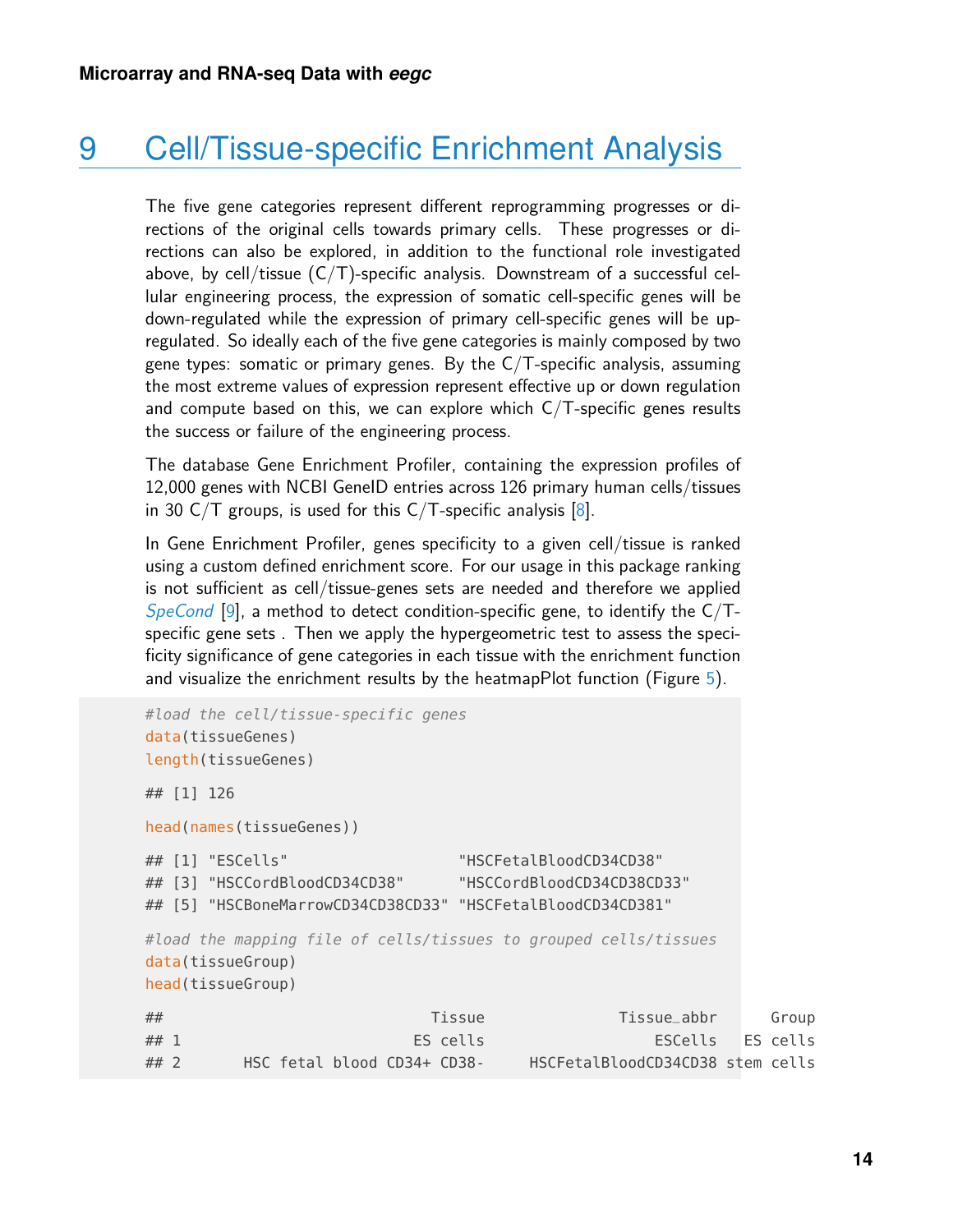## 9 Cell/Tissue-specific Enrichment Analysis

<span id="page-13-0"></span>The five gene categories represent different reprogramming progresses or directions of the original cells towards primary cells. These progresses or directions can also be explored, in addition to the functional role investigated above, by cell/tissue  $(C/T)$ -specific analysis. Downstream of a successful cellular engineering process, the expression of somatic cell-specific genes will be down-regulated while the expression of primary cell-specific genes will be upregulated. So ideally each of the five gene categories is mainly composed by two gene types: somatic or primary genes. By the  $C/T$ -specific analysis, assuming the most extreme values of expression represent effective up or down regulation and compute based on this, we can explore which  $C/T$ -specific genes results the success or failure of the engineering process.

The database Gene Enrichment Profiler, containing the expression profiles of 12,000 genes with NCBI GeneID entries across 126 primary human cells/tissues in 30 C/T groups, is used for this C/T-specific analysis  $[8]$ .

In Gene Enrichment Profiler, genes specificity to a given cell/tissue is ranked using a custom defined enrichment score. For our usage in this package ranking is not sufficient as cell/tissue-genes sets are needed and therefore we applied [SpeCond](http://bioconductor.org/packages/SpeCond) [\[9\]](#page-19-3), a method to detect condition-specific gene, to identify the  $C/T$ specific gene sets . Then we apply the hypergeometric test to assess the specificity significance of gene categories in each tissue with the enrichment function and visualize the enrichment results by the heatmapPlot function (Figure [5\)](#page-14-1).

```
#load the cell/tissue-specific genes
data(tissueGenes)
length(tissueGenes)
## [1] 126
head(names(tissueGenes))
## [1] "ESCells" "HSCFetalBloodCD34CD38"
## [3] "HSCCordBloodCD34CD38" "HSCCordBloodCD34CD38CD33"
## [5] "HSCBoneMarrowCD34CD38CD33" "HSCFetalBloodCD34CD381"
#load the mapping file of cells/tissues to grouped cells/tissues
data(tissueGroup)
head(tissueGroup)
## Tissue Tissue_abbr Group
## 1 ES cells ESCells ES cells
## 2 HSC fetal blood CD34+ CD38- HSCFetalBloodCD34CD38 stem cells
```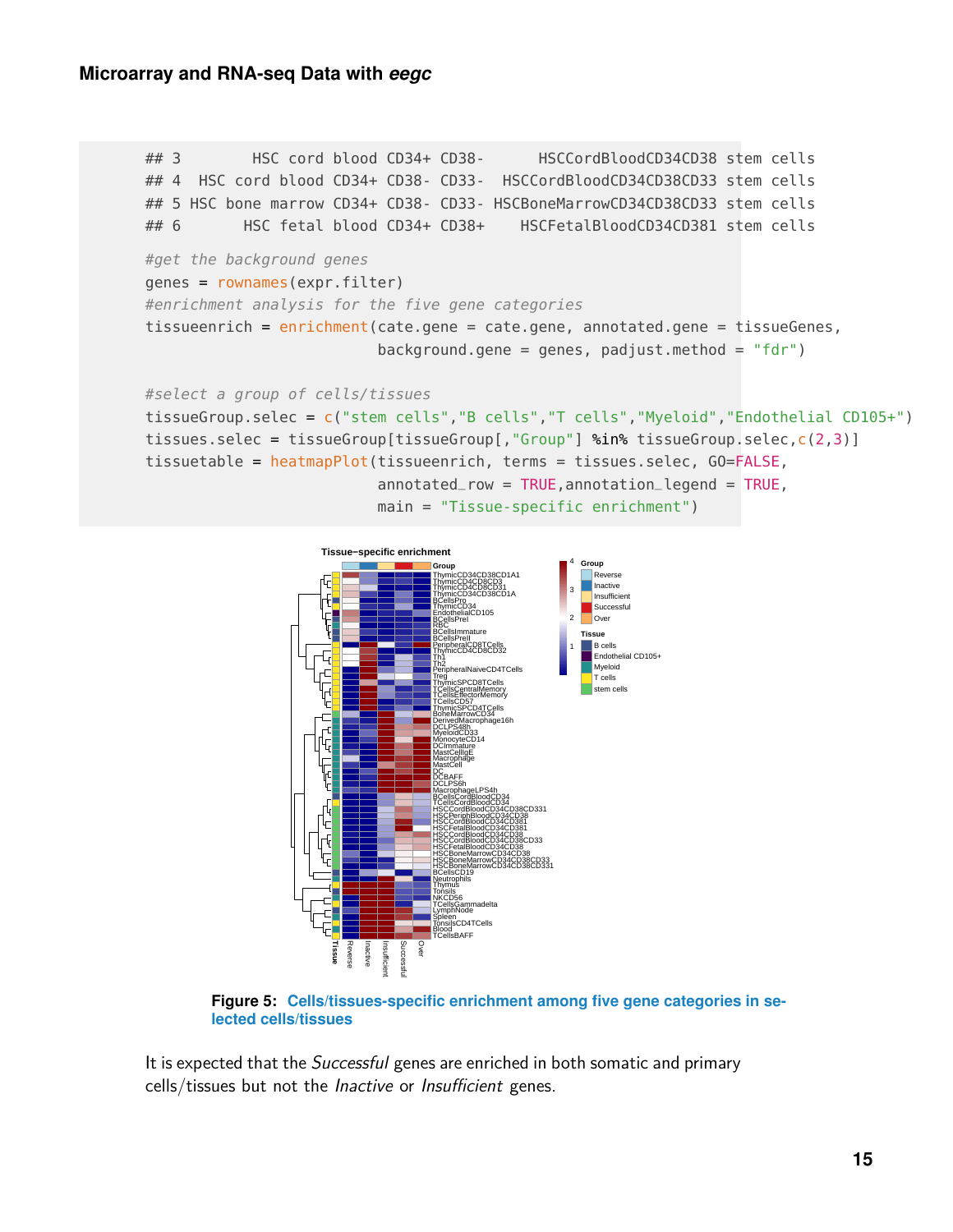#### **Microarray and RNA-seq Data with** *eegc*

```
## 3 HSC cord blood CD34+ CD38- HSCCordBloodCD34CD38 stem cells
## 4 HSC cord blood CD34+ CD38- CD33- HSCCordBloodCD34CD38CD33 stem cells
## 5 HSC bone marrow CD34+ CD38- CD33- HSCBoneMarrowCD34CD38CD33 stem cells
## 6 HSC fetal blood CD34+ CD38+ HSCFetalBloodCD34CD381 stem cells
#get the background genes
genes = rownames(expr.filter)
#enrichment analysis for the five gene categories
tissueenrich = enrichment(cate.gene = cate.gene, annotated.gene = tissueGenes,
                         background.gene = genes, padjust.method = "fdr")
#select a group of cells/tissues
tissueGroup.selec = c("stem cells","B cells","T cells","Myeloid","Endothelial CD105+")
tissues.selec = tissueGroup[tissueGroup[,"Group"] %in% tissueGroup.selec,c(2,3)]
tissuetable = heatmapPlot(tissueenrich, terms = tissues.selec, GO=FALSE,
                         annotated_{row} = TRUE, annotated_{row} = TRUE, d = True
```

```
main = "Tissue-specific enrichment")
```
<span id="page-14-1"></span>

**Figure 5: Cells/tissues-specific enrichment among five gene categories in selected cells/tissues**

<span id="page-14-0"></span>It is expected that the *Successful* genes are enriched in both somatic and primary cells/tissues but not the Inactive or Insufficient genes.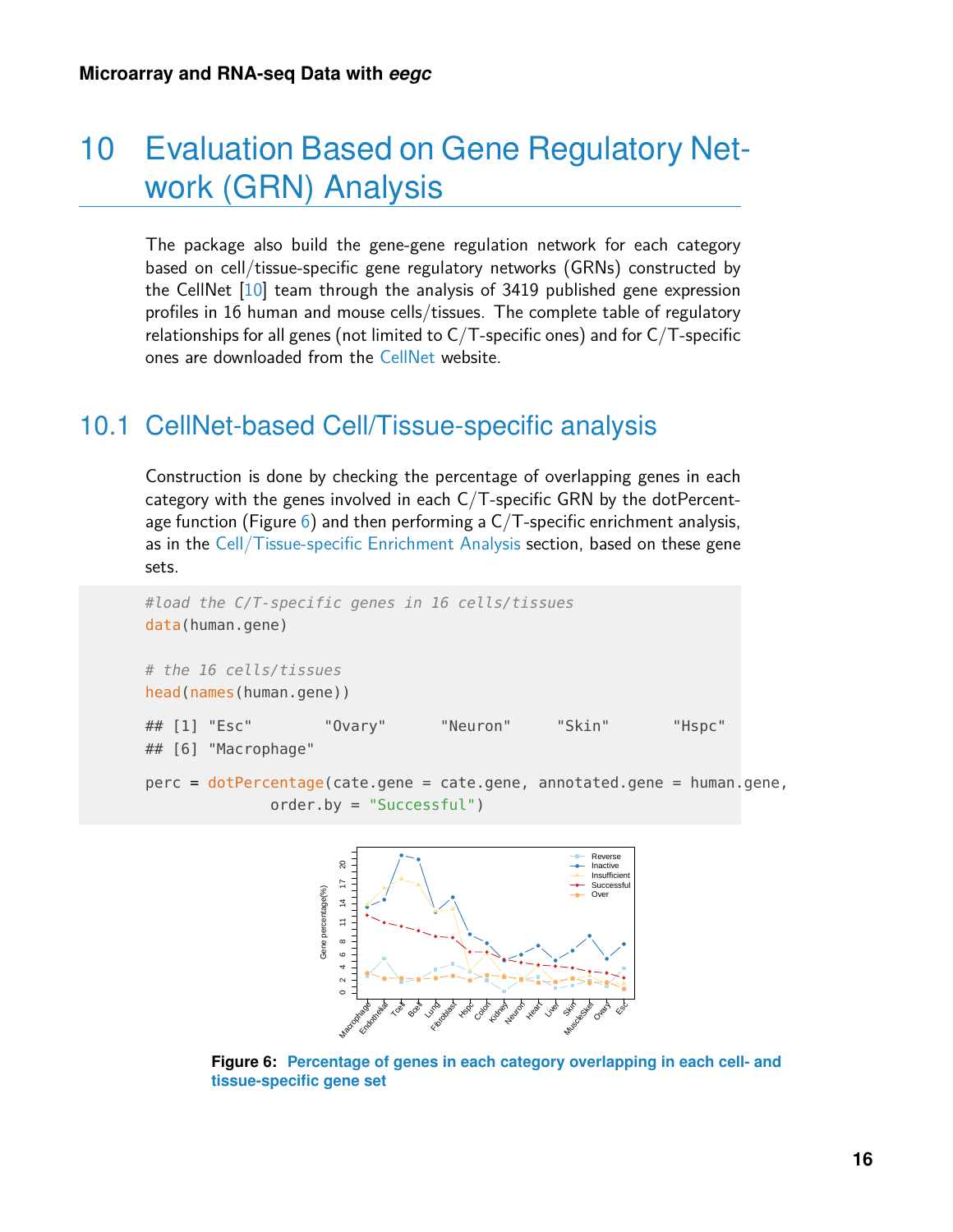## 10 Evaluation Based on Gene Regulatory Network (GRN) Analysis

The package also build the gene-gene regulation network for each category based on cell/tissue-specific gene regulatory networks (GRNs) constructed by the CellNet [\[10\]](#page-19-4) team through the analysis of 3419 published gene expression profiles in 16 human and mouse cells/tissues. The complete table of regulatory relationships for all genes (not limited to C/T-specific ones) and for C/T-specific ones are downloaded from the [CellNet](http://cellnet.hms.harvard.edu/downloads/) website.

#### <span id="page-15-0"></span>10.1 CellNet-based Cell/Tissue-specific analysis

Construction is done by checking the percentage of overlapping genes in each category with the genes involved in each C/T-specific GRN by the dotPercentage function (Figure  $6$ ) and then performing a C/T-specific enrichment analysis, as in the [Cell/Tissue-specific Enrichment Analysis](#page-13-0) section, based on these gene sets.



<span id="page-15-1"></span>

**Figure 6: Percentage of genes in each category overlapping in each cell- and tissue-specific gene set**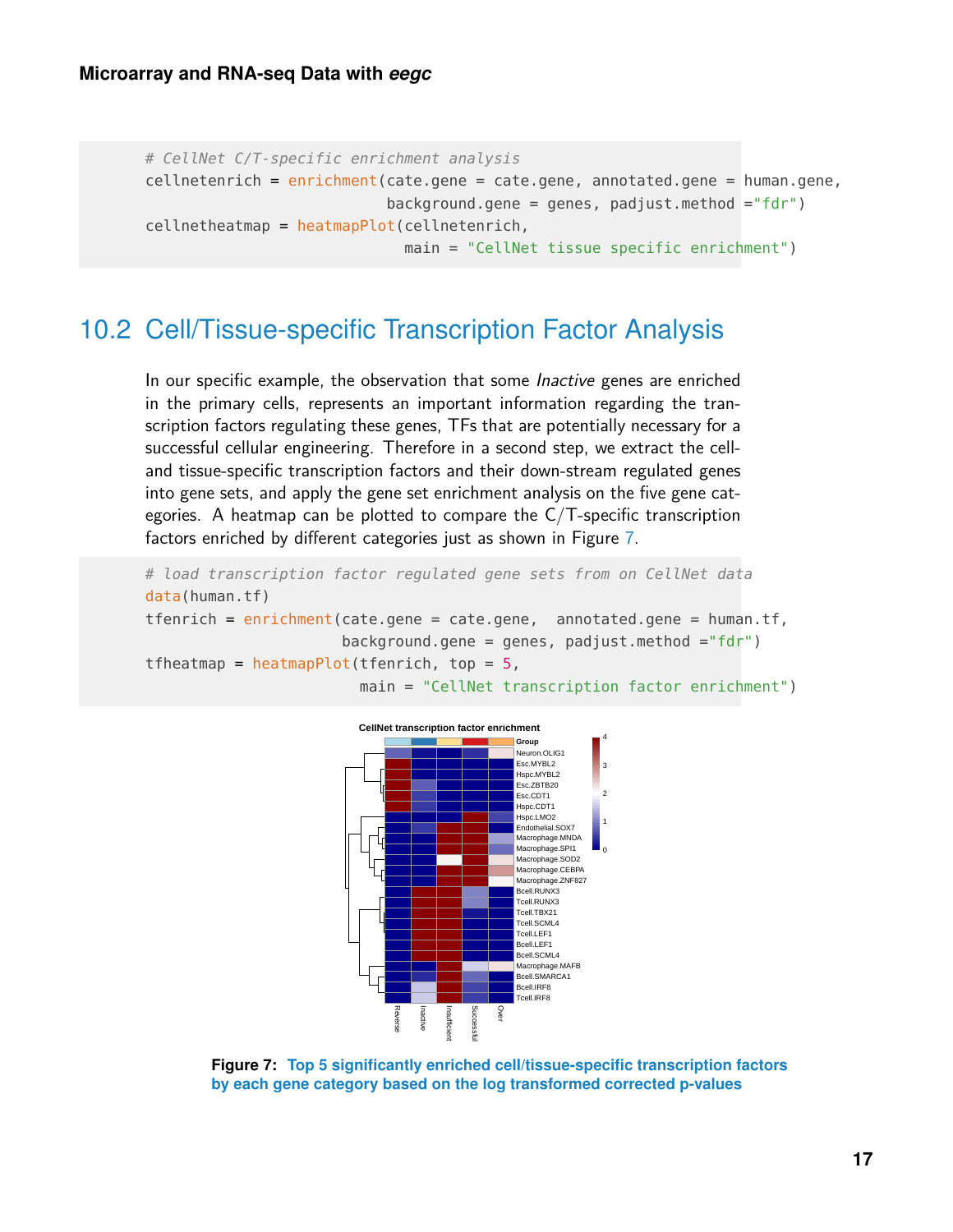```
# CellNet C/T-specific enrichment analysis
cellnetenrich = enrichment(cate.gene = cate.gene, annotated.gene = human.gene,
                           background.gene = genes, padjust.method ="fdr")
cellnetheatmap = heatmapPlot(cellnetenrich,
                             main = "CellNet tissue specific enrichment")
```
#### <span id="page-16-0"></span>10.2 Cell/Tissue-specific Transcription Factor Analysis

In our specific example, the observation that some *Inactive* genes are enriched in the primary cells, represents an important information regarding the transcription factors regulating these genes, TFs that are potentially necessary for a successful cellular engineering. Therefore in a second step, we extract the celland tissue-specific transcription factors and their down-stream regulated genes into gene sets, and apply the gene set enrichment analysis on the five gene categories. A heatmap can be plotted to compare the C/T-specific transcription factors enriched by different categories just as shown in Figure [7.](#page-16-2)

```
# load transcription factor regulated gene sets from on CellNet data
data(human.tf)
tfenrich = enrichment(cate.gene = cate.gene, annotated.gene = human.tf,
                      background.gene = genes, padjust.method ="fdr")
tfheatmap = heatmapPlot(tfenrich, top = 5,
```




<span id="page-16-1"></span>**Figure 7: Top 5 significantly enriched cell/tissue-specific transcription factors by each gene category based on the log transformed corrected p-values**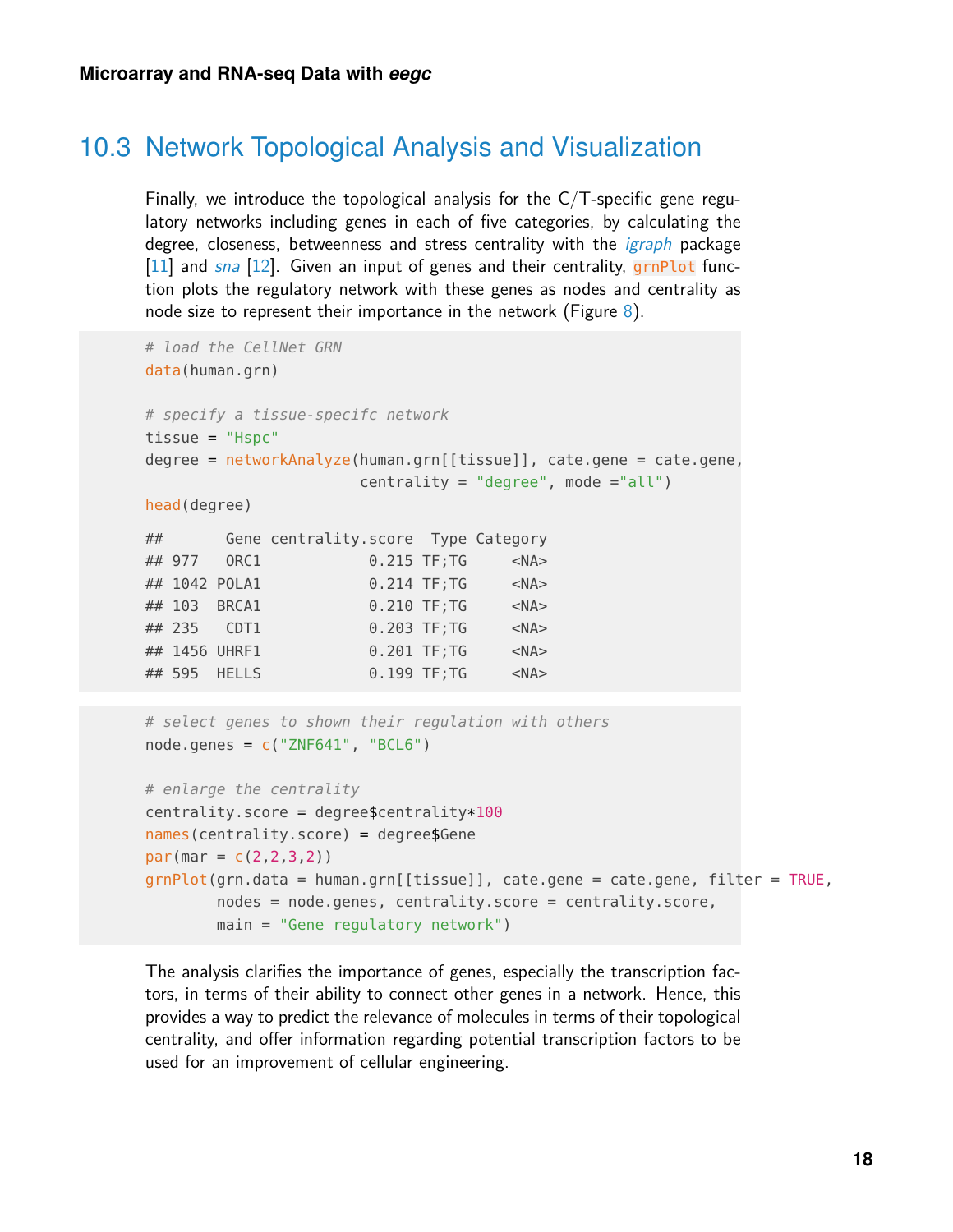#### 10.3 Network Topological Analysis and Visualization

Finally, we introduce the topological analysis for the  $C/T$ -specific gene regulatory networks including genes in each of five categories, by calculating the degree, closeness, betweenness and stress centrality with the *[igraph](https://CRAN.R-project.org/package=igraph)* package  $[11]$  and [sna](https://CRAN.R-project.org/package=sna)  $[12]$ . Given an input of genes and their centrality, grnPlot function plots the regulatory network with these genes as nodes and centrality as node size to represent their importance in the network (Figure [8\)](#page-18-6).

```
# load the CellNet GRN
data(human.grn)
# specify a tissue-specifc network
tissue = "Hspc"
degree = networkAnalyze(human.grn[[tissue]], cate.gene = cate.gene,
                    centrality = "degree", mode ="all")
head(degree)
## Gene centrality.score Type Category
## 977 ORC1 0.215 TF;TG <NA>
## 1042 POLA1 0.214 TF;TG <NA>
## 103 BRCA1 0.210 TF;TG <NA>
## 235 CDT1 0.203 TF;TG <NA>
## 1456 UHRF1 0.201 TF;TG <NA>
## 595 HELLS 0.199 TF;TG <NA>
# select genes to shown their regulation with others
node.genes = c("ZNF641", "BCL6")# enlarge the centrality
```

```
centrality.score = degreescentrality*100names(centrality.score) = degree$Gene
par(max = c(2, 2, 3, 2))grnPlot(grn.data = human.grn[[tissue]], cate.gene = cate.gene, filter = TRUE,
        nodes = node.genes, centrality.score = centrality.score,
        main = "Gene regulatory network")
```
The analysis clarifies the importance of genes, especially the transcription factors, in terms of their ability to connect other genes in a network. Hence, this provides a way to predict the relevance of molecules in terms of their topological centrality, and offer information regarding potential transcription factors to be used for an improvement of cellular engineering.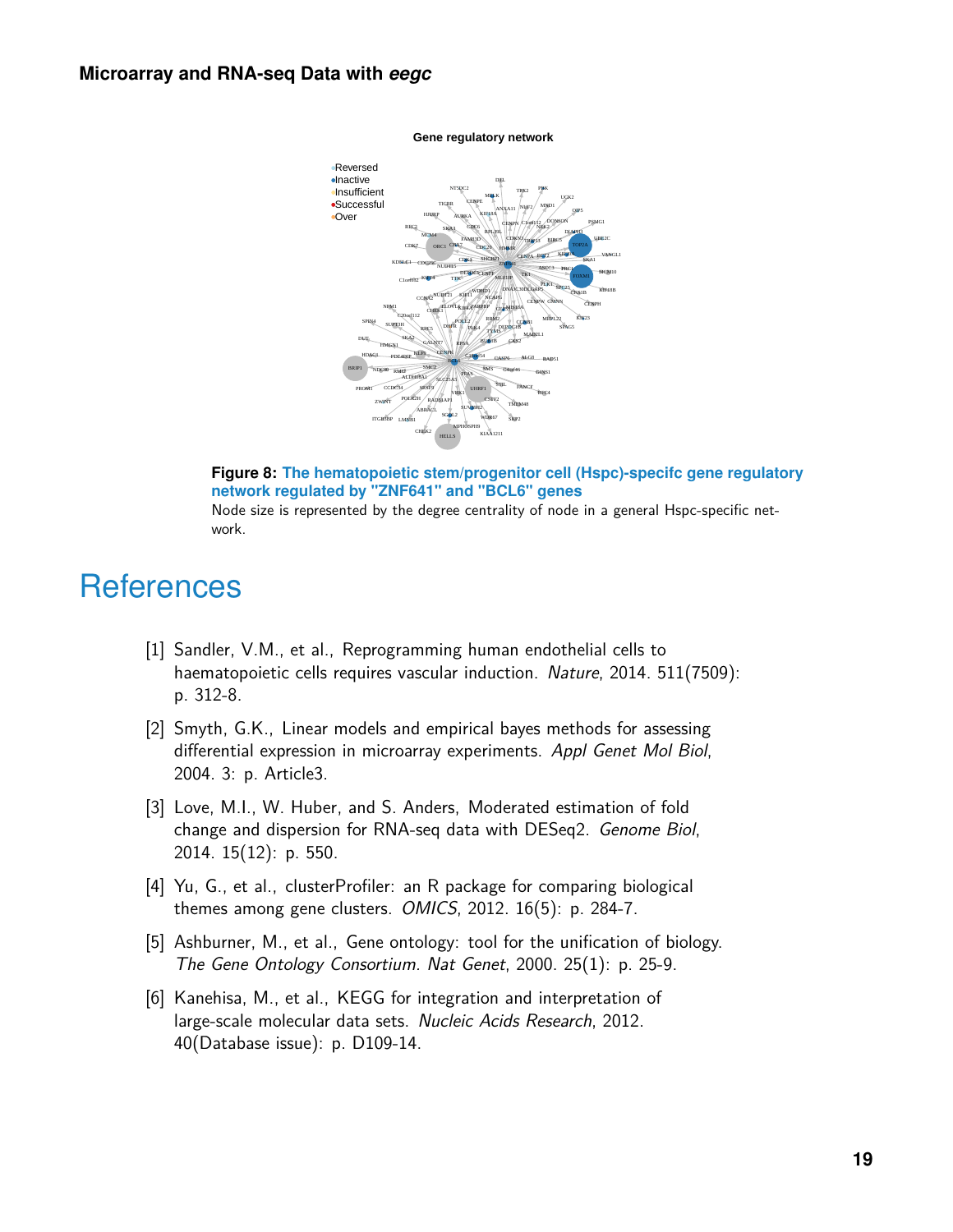#### <span id="page-18-6"></span>**Microarray and RNA-seq Data with** *eegc*



**Gene regulatory network**



Node size is represented by the degree centrality of node in a general Hspc-specific network.

### **References**

- <span id="page-18-0"></span>[1] Sandler, V.M., et al., Reprogramming human endothelial cells to haematopoietic cells requires vascular induction. Nature, 2014. 511(7509): p. 312-8.
- <span id="page-18-1"></span>[2] Smyth, G.K., Linear models and empirical bayes methods for assessing differential expression in microarray experiments. Appl Genet Mol Biol, 2004. 3: p. Article3.
- <span id="page-18-2"></span>[3] Love, M.I., W. Huber, and S. Anders, Moderated estimation of fold change and dispersion for RNA-seq data with DESeq2. Genome Biol, 2014. 15(12): p. 550.
- <span id="page-18-3"></span>[4] Yu, G., et al., clusterProfiler: an R package for comparing biological themes among gene clusters. OMICS, 2012. 16(5): p. 284-7.
- <span id="page-18-4"></span>[5] Ashburner, M., et al., Gene ontology: tool for the unification of biology. The Gene Ontology Consortium. Nat Genet, 2000. 25(1): p. 25-9.
- <span id="page-18-5"></span>[6] Kanehisa, M., et al., KEGG for integration and interpretation of large-scale molecular data sets. Nucleic Acids Research, 2012. 40(Database issue): p. D109-14.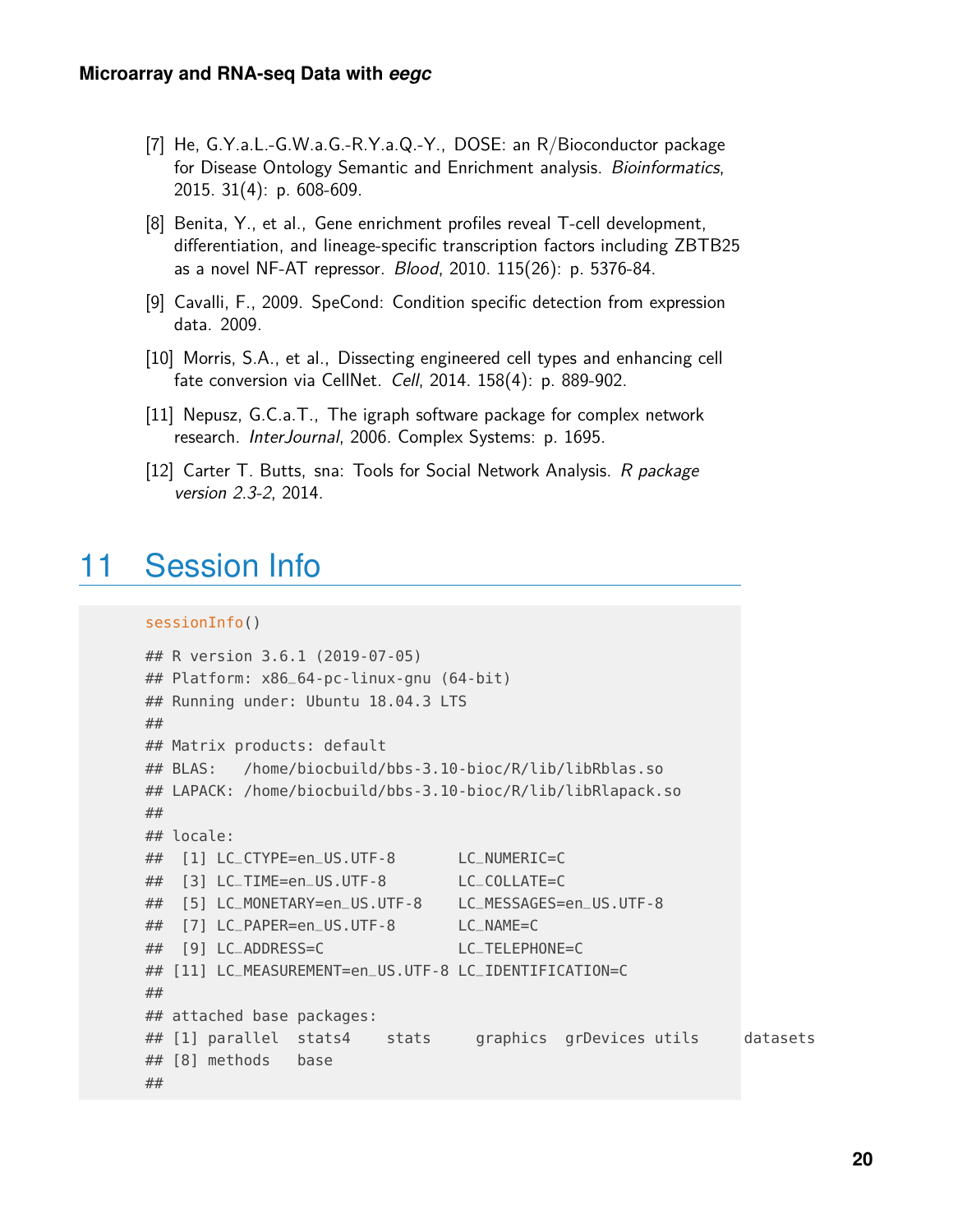- <span id="page-19-1"></span>[7] He, G.Y.a.L.-G.W.a.G.-R.Y.a.Q.-Y., DOSE: an R/Bioconductor package for Disease Ontology Semantic and Enrichment analysis. *Bioinformatics*, 2015. 31(4): p. 608-609.
- <span id="page-19-2"></span>[8] Benita, Y., et al., Gene enrichment profiles reveal T-cell development, differentiation, and lineage-specific transcription factors including ZBTB25 as a novel NF-AT repressor. Blood, 2010. 115(26): p. 5376-84.
- <span id="page-19-3"></span>[9] Cavalli, F., 2009. SpeCond: Condition specific detection from expression data. 2009.
- <span id="page-19-4"></span>[10] Morris, S.A., et al., Dissecting engineered cell types and enhancing cell fate conversion via CellNet. Cell, 2014. 158(4): p. 889-902.
- <span id="page-19-5"></span>[11] Nepusz, G.C.a.T., The igraph software package for complex network research. InterJournal, 2006. Complex Systems: p. 1695.
- <span id="page-19-6"></span><span id="page-19-0"></span>[12] Carter T. Butts, sna: Tools for Social Network Analysis. R package version 2.3-2, 2014.

### 11 Session Info

```
sessionInfo()
```

```
## R version 3.6.1 (2019-07-05)
## Platform: x86_64-pc-linux-gnu (64-bit)
## Running under: Ubuntu 18.04.3 LTS
##
## Matrix products: default
## BLAS: /home/biocbuild/bbs-3.10-bioc/R/lib/libRblas.so
## LAPACK: /home/biocbuild/bbs-3.10-bioc/R/lib/libRlapack.so
##
## locale:
## [1] LC_CTYPE=en_US.UTF-8 LC_NUMERIC=C
## [3] LC_TIME=en_US.UTF-8 LC_COLLATE=C
## [5] LC_MONETARY=en_US.UTF-8 LC_MESSAGES=en_US.UTF-8
## [7] LC_PAPER=en_US.UTF-8 LC_NAME=C
## [9] LC_ADDRESS=C LC_TELEPHONE=C
## [11] LC_MEASUREMENT=en_US.UTF-8 LC_IDENTIFICATION=C
##
## attached base packages:
## [1] parallel stats4 stats graphics grDevices utils datasets
## [8] methods base
##
```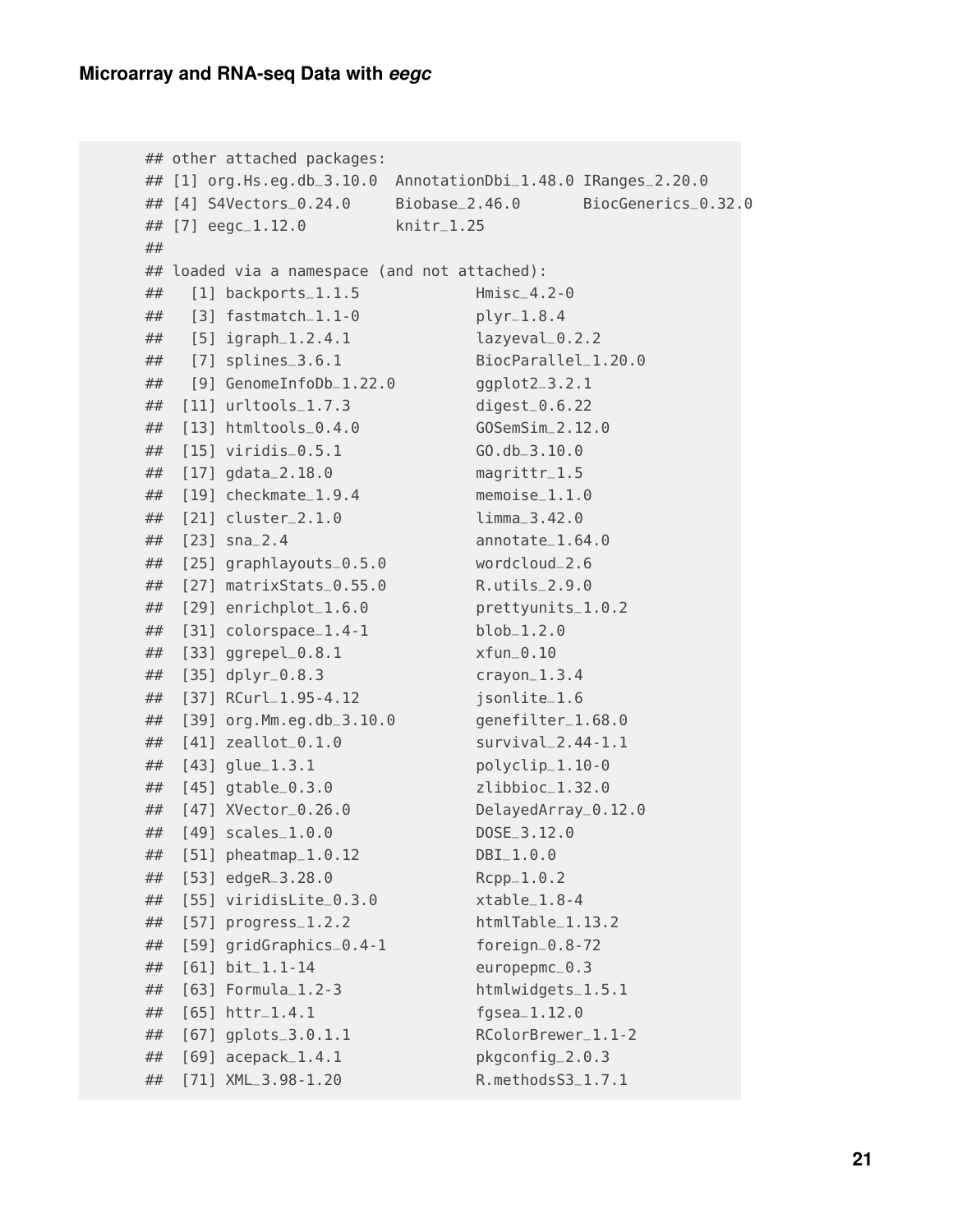```
## other attached packages:
## [1] org.Hs.eg.db_3.10.0 AnnotationDbi_1.48.0 IRanges_2.20.0
## [4] S4Vectors_0.24.0 Biobase_2.46.0 BiocGenerics_0.32.0
## [7] eegc_1.12.0 knitr_1.25
##
## loaded via a namespace (and not attached):
## [1] backports_1.1.5 Hmisc_4.2-0
## [3] fastmatch_1.1-0 plyr_1.8.4
## [5] igraph_1.2.4.1 lazyeval_0.2.2
## [7] splines_3.6.1 BiocParallel_1.20.0
## [9] GenomeInfoDb_1.22.0 ggplot2_3.2.1
## [11] urltools_1.7.3 digest_0.6.22
## [13] htmltools_0.4.0 GOSemSim_2.12.0
## [15] viridis_0.5.1 GO.db_3.10.0
## [17] gdata_2.18.0 magrittr_1.5
## [19] checkmate_1.9.4 memoise_1.1.0
## [21] cluster_2.1.0 limma_3.42.0
## [23] sna_2.4 annotate_1.64.0
## [25] graphlayouts_0.5.0 wordcloud_2.6
## [27] matrixStats_0.55.0 R.utils_2.9.0
## [29] enrichplot_1.6.0 prettyunits_1.0.2
## [31] colorspace_1.4-1 blob_1.2.0
## [33] ggrepel_0.8.1 xfun_0.10
## [35] dplyr_0.8.3 crayon_1.3.4
## [37] RCurl_1.95-4.12 jsonlite_1.6
## [39] org.Mm.eg.db_3.10.0 genefilter_1.68.0
## [41] zeallot_0.1.0 survival_2.44-1.1
## [43] glue_1.3.1 polyclip_1.10-0
## [45] gtable_0.3.0 zlibbioc_1.32.0
## [47] XVector_0.26.0 DelayedArray_0.12.0
## [49] scales_1.0.0 DOSE_3.12.0
## [51] pheatmap_1.0.12 DBI_1.0.0
## [53] edgeR_3.28.0 Rcpp_1.0.2
## [55] viridisLite_0.3.0 xtable_1.8-4
## [57] progress_1.2.2 htmlTable_1.13.2
## [59] gridGraphics_0.4-1 foreign_0.8-72
## [61] bit_1.1-14 europepmc_0.3
## [63] Formula_1.2-3 htmlwidgets_1.5.1
## [65] httr_1.4.1 fgsea_1.12.0
## [67] gplots_3.0.1.1 RColorBrewer_1.1-2
## [69] acepack_1.4.1 pkgconfig_2.0.3
## [71] XML_3.98-1.20 R.methodsS3_1.7.1
```